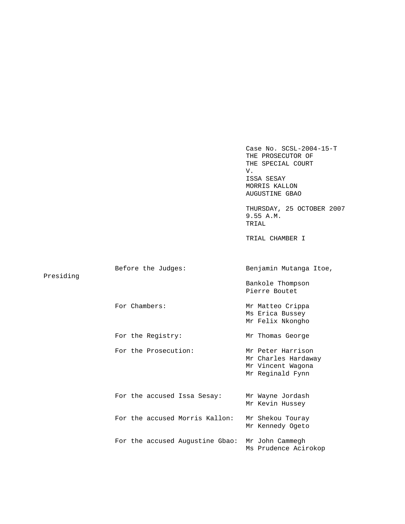Case No. SCSL-2004-15-T THE PROSECUTOR OF THE SPECIAL COURT V. ISSA SESAY MORRIS KALLON AUGUSTINE GBAO THURSDAY, 25 OCTOBER 2007 9.55 A.M. TRIAL TRIAL CHAMBER I Before the Judges: Benjamin Mutanga Itoe, Presiding Bankole Thompson Pierre Boutet For Chambers: Mr Matteo Crippa Ms Erica Bussey Mr Felix Nkongho For the Registry: Mr Thomas George For the Prosecution: Mr Peter Harrison Mr Charles Hardaway Mr Vincent Wagona Mr Reginald Fynn For the accused Issa Sesay: Mr Wayne Jordash Mr Kevin Hussey For the accused Morris Kallon: Mr Shekou Touray Mr Kennedy Ogeto For the accused Augustine Gbao: Mr John Cammegh Ms Prudence Acirokop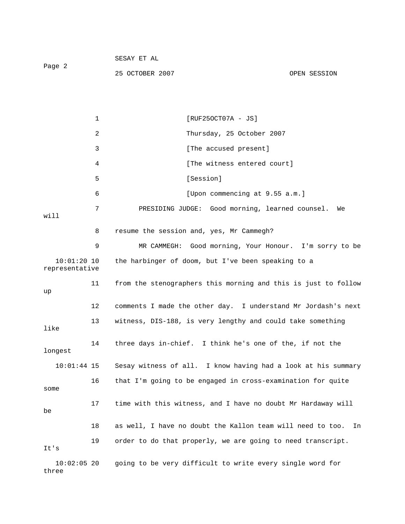| Page 2 | SESAY ET AL     |              |
|--------|-----------------|--------------|
|        | 25 OCTOBER 2007 | OPEN SESSION |

1 [RUF25OCT07A - JS] 2 Thursday, 25 October 2007 3 **I** [The accused present] 4 [The witness entered court] 5 [Session] 6 [Upon commencing at 9.55 a.m.] 7 PRESIDING JUDGE: Good morning, learned counsel. We will 8 resume the session and, yes, Mr Cammegh? 9 MR CAMMEGH: Good morning, Your Honour. I'm sorry to be 10:01:20 10 the harbinger of doom, but I've been speaking to a representative 11 from the stenographers this morning and this is just to follow up 12 comments I made the other day. I understand Mr Jordash's next 13 witness, DIS-188, is very lengthy and could take something like 14 three days in-chief. I think he's one of the, if not the longest 10:01:44 15 Sesay witness of all. I know having had a look at his summary 16 that I'm going to be engaged in cross-examination for quite some 17 time with this witness, and I have no doubt Mr Hardaway will be 18 as well, I have no doubt the Kallon team will need to too. In 19 order to do that properly, we are going to need transcript. It's 10:02:05 20 going to be very difficult to write every single word for three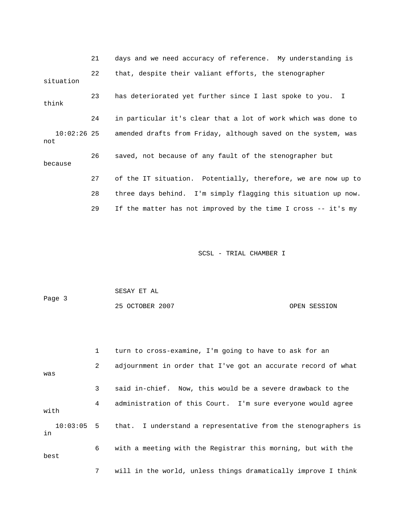21 days and we need accuracy of reference. My understanding is 22 that, despite their valiant efforts, the stenographer situation 23 has deteriorated yet further since I last spoke to you. I think 24 in particular it's clear that a lot of work which was done to 10:02:26 25 amended drafts from Friday, although saved on the system, was not 26 saved, not because of any fault of the stenographer but because 27 of the IT situation. Potentially, therefore, we are now up to 28 three days behind. I'm simply flagging this situation up now. 29 If the matter has not improved by the time I cross -- it's my

| Page 3 | SESAY ET AL     |              |
|--------|-----------------|--------------|
|        | 25 OCTOBER 2007 | OPEN SESSION |

|      | $\mathbf{1}$ | turn to cross-examine, I'm going to have to ask for an          |
|------|--------------|-----------------------------------------------------------------|
| was  | $\mathbf{2}$ | adjournment in order that I've got an accurate record of what   |
|      | 3            | said in-chief. Now, this would be a severe drawback to the      |
| with | 4            | administration of this Court. I'm sure everyone would agree     |
| in   | 10:03:05     | 5 that. I understand a representative from the stenographers is |
| best | 6            | with a meeting with the Registrar this morning, but with the    |
|      | 7            | will in the world, unless things dramatically improve I think   |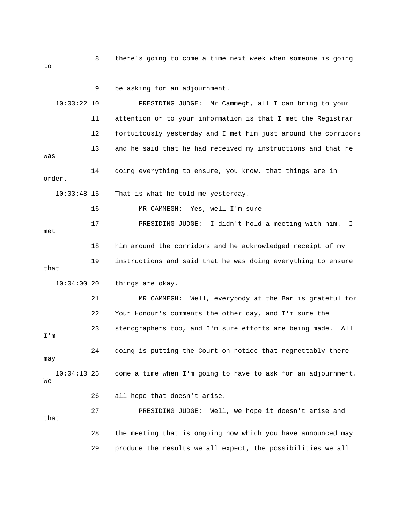8 there's going to come a time next week when someone is going to 9 be asking for an adjournment.

 10:03:22 10 PRESIDING JUDGE: Mr Cammegh, all I can bring to your 11 attention or to your information is that I met the Registrar 12 fortuitously yesterday and I met him just around the corridors 13 and he said that he had received my instructions and that he was 14 doing everything to ensure, you know, that things are in order. 10:03:48 15 That is what he told me yesterday. 16 MR CAMMEGH: Yes, well I'm sure -- 17 PRESIDING JUDGE: I didn't hold a meeting with him. I met 18 him around the corridors and he acknowledged receipt of my 19 instructions and said that he was doing everything to ensure things are okay. 21 MR CAMMEGH: Well, everybody at the Bar is grateful for 22 Your Honour's comments the other day, and I'm sure the 23 stenographers too, and I'm sure efforts are being made. All 24 doing is putting the Court on notice that regrettably there come a time when I'm going to have to ask for an adjournment. 26 all hope that doesn't arise. 27 PRESIDING JUDGE: Well, we hope it doesn't arise and 28 the meeting that is ongoing now which you have announced may that  $10:04:00$  20 I'm may  $10:04:13$  25 We that 29 produce the results we all expect, the possibilities we all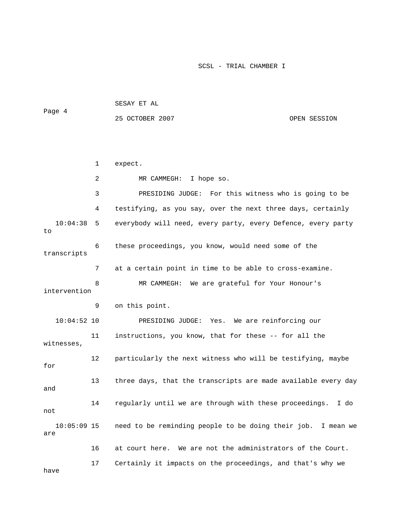|        | SESAY ET AL     |              |
|--------|-----------------|--------------|
| Page 4 |                 |              |
|        | 25 OCTOBER 2007 | OPEN SESSION |

|                      | $\mathbf 1$ | expect.                                                         |
|----------------------|-------------|-----------------------------------------------------------------|
|                      | 2           | MR CAMMEGH: I hope so.                                          |
|                      | 3           | PRESIDING JUDGE: For this witness who is going to be            |
|                      | 4           | testifying, as you say, over the next three days, certainly     |
| 10:04:38<br>to       | 5           | everybody will need, every party, every Defence, every party    |
| transcripts          | 6           | these proceedings, you know, would need some of the             |
|                      | 7           | at a certain point in time to be able to cross-examine.         |
| intervention         | 8           | MR CAMMEGH: We are grateful for Your Honour's                   |
|                      | 9           | on this point.                                                  |
| $10:04:52$ 10        |             | PRESIDING JUDGE: Yes. We are reinforcing our                    |
| witnesses,           | 11          | instructions, you know, that for these -- for all the           |
| for                  | 12          | particularly the next witness who will be testifying, maybe     |
| and                  | 13          | three days, that the transcripts are made available every day   |
| not                  | 14          | regularly until we are through with these proceedings. I do     |
| $10:05:09$ 15<br>are |             | need to be reminding people to be doing their job.<br>I mean we |
|                      | 16          | at court here. We are not the administrators of the Court.      |
| have                 | 17          | Certainly it impacts on the proceedings, and that's why we      |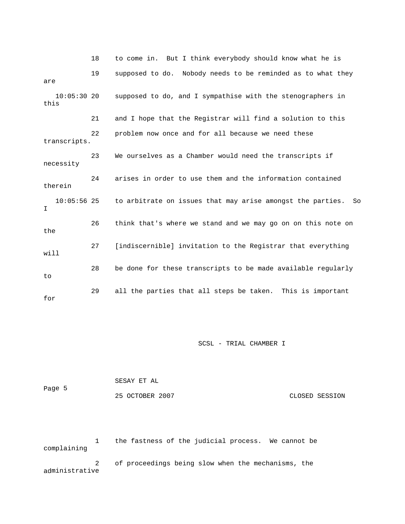18 to come in. But I think everybody should know what he is 19 supposed to do. Nobody needs to be reminded as to what they supposed to do, and I sympathise with the stenographers in 21 and I hope that the Registrar will find a solution to this transcripts. We ourselves as a Chamber would need the transcripts if necessity 24 arises in order to use them and the information contained therein 56 25 to arbitrate on issues that may arise amongst the parties. So 26 think that's where we stand and we may go on on this note on the 27 [indiscernible] invitation to the Registrar that everything will 28 be done for these transcripts to be made available regularly 29 all the parties that all steps be taken. This is important for are  $10:05:3020$ this 22 problem now once and for all because we need these 23 10:05: I to

SCSL - TRIAL CHAMBER I

|        | SESAY ET AL     |                |
|--------|-----------------|----------------|
| Page 5 |                 |                |
|        | 25 OCTOBER 2007 | CLOSED SESSION |

 1 the fastness of the judicial process. We cannot be complaining 2 of proceedings being slow when the mechanisms, the

administrative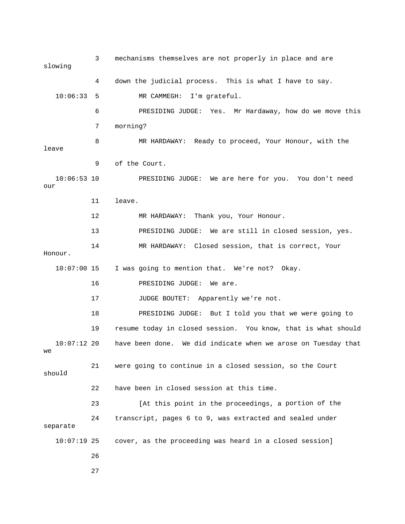3 mechanisms themselves are not properly in place and are slowing 4 down the judicial process. This is what I have to say. ardaway, how do we move this 6 PRESIDING JUDGE: Yes. Mr H 8 MR HARDAWAY: Ready to proceed, Your Honour, with the 9 of the Court. 10:06:53 10 PRESIDING JUDGE: We are here for you. You don't need our 11 leave. MR HARDAWAY: Thank you, Your Honour. 13 PRESIDING JUDGE: We are still in closed session, yes. Honour. I was going to mention that. We're not? Okay. 17 JUDGE BOUTET: Apparently we're not. 18 PRESIDING JUDGE: But I told you that we were going to 21 were going to continue in a closed session, so the Court should 22 have been in closed session at this time. 23 **120 In the Example 1** (At this point in the proceedings, a portion of the separate 10:06:33 5 MR CAMMEGH: I'm grateful. 7 morning? leave 12 MR 14 MR HARDAWAY: Closed session, that is correct, Your 10:07: 16 PRESIDING JUDGE: We are. 19 resume today in closed session. You know, that is what should 10:07:12 20 have been done. We did indicate when we arose on Tuesday that we 24 transcript, pages 6 to 9, was extracted and sealed under 10:07:19 25 cover, as the proceeding was heard in a closed session] 26 27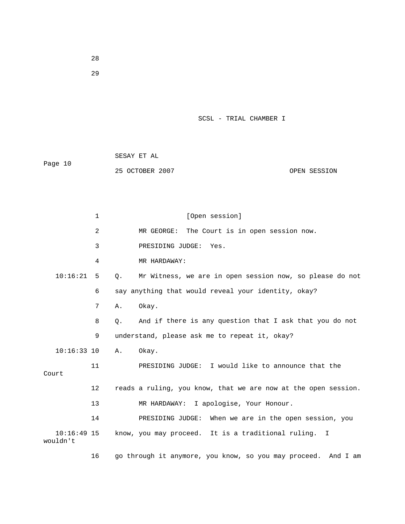|         | SESAY ET AL     |              |
|---------|-----------------|--------------|
| Page 10 |                 |              |
|         | 25 OCTOBER 2007 | OPEN SESSION |

1 [Open session] 2 MR GEORGE: The Court is in open session now. 10:16:21 5 Q. Mr Witness, we are in open session now, so please do not 8 Q. And if there is any question that I ask that you do not 11 PRESIDING JUDGE: I would like to announce that the 12 reads a ruling, you know, that we are now at the open session. 14 PRESIDING JUDGE: When we are in the open session, you 3 PRESIDING JUDGE: Yes. 4 MR HARDAWAY: 6 say anything that would reveal your identity, okay? 7 A. Okay. 9 understand, please ask me to repeat it, okay? 10:16:33 10 A. Okay. Court 13 MR HARDAWAY: I apologise, Your Honour. 10:16:49 15 know, you may proceed. It is a traditional ruling. I wouldn't

16 go through it anymore, you know, so you may proceed. And I am

28

29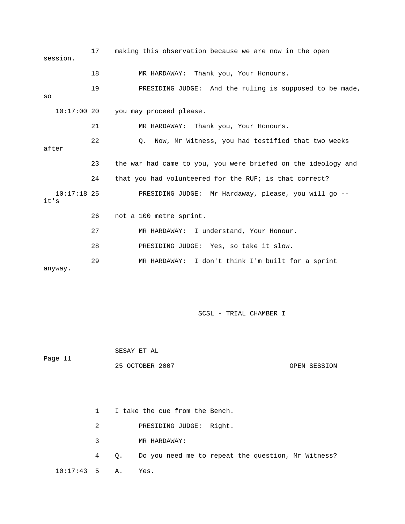| session.              | 17 | making this observation because we are now in the open        |
|-----------------------|----|---------------------------------------------------------------|
|                       | 18 | MR HARDAWAY: Thank you, Your Honours.                         |
| SO                    | 19 | PRESIDING JUDGE: And the ruling is supposed to be made,       |
| $10:17:00$ 20         |    | you may proceed please.                                       |
|                       | 21 | MR HARDAWAY: Thank you, Your Honours.                         |
| after                 | 22 | Now, Mr Witness, you had testified that two weeks<br>0.       |
|                       | 23 | the war had came to you, you were briefed on the ideology and |
|                       | 24 | that you had volunteered for the RUF; is that correct?        |
| $10:17:18$ 25<br>it's |    | PRESIDING JUDGE: Mr Hardaway, please, you will go --          |
|                       | 26 | not a 100 metre sprint.                                       |
|                       | 27 | MR HARDAWAY: I understand, Your Honour.                       |
|                       | 28 | PRESIDING JUDGE: Yes, so take it slow.                        |
| anyway.               | 29 | MR HARDAWAY: I don't think I'm built for a sprint             |

 SESAY ET AL Page 11

25 OCTOBER 2007 CHARLEY CONSIDER SESSION

|                      |           | I take the cue from the Bench.                          |
|----------------------|-----------|---------------------------------------------------------|
|                      | $2 \quad$ | PRESIDING JUDGE: Right.                                 |
|                      | $3 \sim$  | MR HARDAWAY:                                            |
|                      |           | 4 Q. Do you need me to repeat the question, Mr Witness? |
| $10:17:43$ 5 A. Yes. |           |                                                         |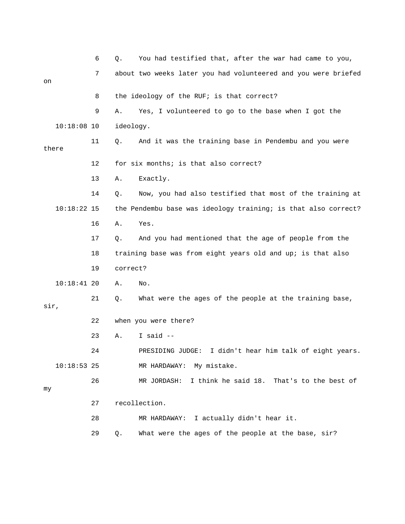|      |               | 6  | Q.        | You had testified that, after the war had came to you,         |
|------|---------------|----|-----------|----------------------------------------------------------------|
| on   |               | 7  |           | about two weeks later you had volunteered and you were briefed |
|      |               | 8  |           | the ideology of the RUF; is that correct?                      |
|      |               | 9  | Α.        | Yes, I volunteered to go to the base when I got the            |
|      | $10:18:08$ 10 |    | ideology. |                                                                |
|      | there         | 11 | Q.        | And it was the training base in Pendembu and you were          |
|      |               | 12 |           | for six months; is that also correct?                          |
|      |               | 13 | Α.        | Exactly.                                                       |
|      |               | 14 | Q.        | Now, you had also testified that most of the training at       |
|      | $10:18:22$ 15 |    |           | the Pendembu base was ideology training; is that also correct? |
|      |               | 16 | Α.        | Yes.                                                           |
|      |               | 17 | Q.        | And you had mentioned that the age of people from the          |
|      |               | 18 |           | training base was from eight years old and up; is that also    |
|      |               | 19 | correct?  |                                                                |
|      | $10:18:41$ 20 |    | Α.        | No.                                                            |
| sir, |               | 21 | Q.        | What were the ages of the people at the training base,         |
|      |               | 22 |           | when you were there?                                           |
|      |               | 23 | Α.        | I said $-$                                                     |
|      |               | 24 |           | I didn't hear him talk of eight years.<br>PRESIDING JUDGE:     |
|      | $10:18:53$ 25 |    |           | MR HARDAWAY: My mistake.                                       |
| my   |               | 26 |           | MR JORDASH: I think he said 18. That's to the best of          |
|      |               | 27 |           | recollection.                                                  |
|      |               | 28 |           | MR HARDAWAY: I actually didn't hear it.                        |

29 Q. What were the ages of the people at the base, sir?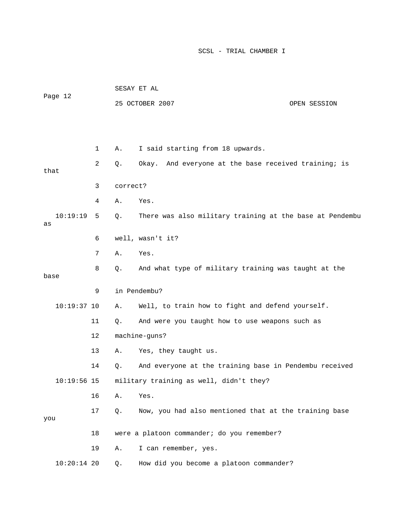|                |    |          | SESAY ET AL                                              |              |
|----------------|----|----------|----------------------------------------------------------|--------------|
| Page 12        |    |          | 25 OCTOBER 2007                                          | OPEN SESSION |
|                |    |          |                                                          |              |
|                |    |          |                                                          |              |
|                | 1  | Α.       | I said starting from 18 upwards.                         |              |
| that           | 2  | Q.       | Okay. And everyone at the base received training; is     |              |
|                | 3  | correct? |                                                          |              |
|                | 4  | Α.       | Yes.                                                     |              |
| 10:19:19<br>as | 5  | Q.       | There was also military training at the base at Pendembu |              |
|                | 6  |          | well, wasn't it?                                         |              |
|                | 7  | Α.       | Yes.                                                     |              |
| base           | 8  | Q.       | And what type of military training was taught at the     |              |
|                | 9  |          | in Pendembu?                                             |              |
|                |    |          |                                                          |              |
| $10:19:37$ 10  |    | Α.       | Well, to train how to fight and defend yourself.         |              |
|                | 11 | Q.       | And were you taught how to use weapons such as           |              |
|                | 12 |          | machine-guns?                                            |              |
|                | 13 | Α.       | Yes, they taught us.                                     |              |
|                | 14 | Q.       | And everyone at the training base in Pendembu received   |              |
| $10:19:56$ 15  |    |          | military training as well, didn't they?                  |              |
|                | 16 | Α.       | Yes.                                                     |              |
| you            | 17 | Q.       | Now, you had also mentioned that at the training base    |              |
|                | 18 |          | were a platoon commander; do you remember?               |              |
|                | 19 | Α.       | I can remember, yes.                                     |              |
| $10:20:14$ 20  |    | Q.       | How did you become a platoon commander?                  |              |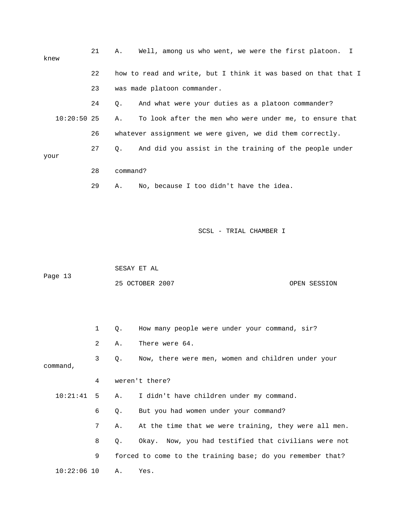| knew          | 21 | Well, among us who went, we were the first platoon. I<br>Α.         |
|---------------|----|---------------------------------------------------------------------|
|               | 22 | how to read and write, but I think it was based on that that I      |
|               | 23 | was made platoon commander.                                         |
|               | 24 | And what were your duties as a platoon commander?<br>Q.             |
| $10:20:50$ 25 |    | To look after the men who were under me, to ensure that<br>Α.       |
|               | 26 | whatever assignment we were given, we did them correctly.           |
| your          | 27 | And did you assist in the training of the people under<br>$\circ$ . |
|               | 28 | command?                                                            |
|               | 29 | No, because I too didn't have the idea.<br>Α.                       |

 SESAY ET AL ge 13 Pa 25 OCTOBER 2007 CONSIDERED AT A SESSION

|               | $\mathbf{1}$ | 0. | How many people were under your command, sir?              |
|---------------|--------------|----|------------------------------------------------------------|
|               | 2            | Α. | There were 64.                                             |
| command,      | 3            | Q. | Now, there were men, women and children under your         |
|               | 4            |    | weren't there?                                             |
| $10:21:41$ 5  |              | А. | I didn't have children under my command.                   |
|               | 6            | Q. | But you had women under your command?                      |
|               | 7            | Α. | At the time that we were training, they were all men.      |
|               | 8            | Q. | Okay. Now, you had testified that civilians were not       |
|               | 9            |    | forced to come to the training base; do you remember that? |
| $10:22:06$ 10 |              | Α. | Yes.                                                       |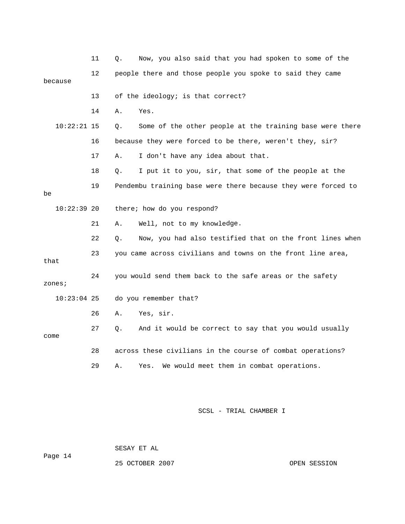|               | 11 | Now, you also said that you had spoken to some of the<br>Q.    |
|---------------|----|----------------------------------------------------------------|
| because       | 12 | people there and those people you spoke to said they came      |
|               | 13 | of the ideology; is that correct?                              |
|               | 14 | Α.<br>Yes.                                                     |
| $10:22:21$ 15 |    | Some of the other people at the training base were there<br>О. |
|               | 16 | because they were forced to be there, weren't they, sir?       |
|               | 17 | I don't have any idea about that.<br>Α.                        |
|               | 18 | I put it to you, sir, that some of the people at the<br>Q.     |
| be            | 19 | Pendembu training base were there because they were forced to  |
| $10:22:39$ 20 |    | there; how do you respond?                                     |
|               | 21 | Well, not to my knowledge.<br>Α.                               |
|               | 22 | Now, you had also testified that on the front lines when<br>Q. |
| that          | 23 | you came across civilians and towns on the front line area,    |
| zones;        | 24 | you would send them back to the safe areas or the safety       |
| $10:23:04$ 25 |    | do you remember that?                                          |
|               | 26 | Yes, sir.<br>Α.                                                |
| come          | 27 | And it would be correct to say that you would usually<br>О.    |
|               | 28 | across these civilians in the course of combat operations?     |
|               | 29 | We would meet them in combat operations.<br>Α.<br>Yes.         |

ge 14 Pa

SESAY ET AL

25 OCTOBER 2007 CPEN SESSION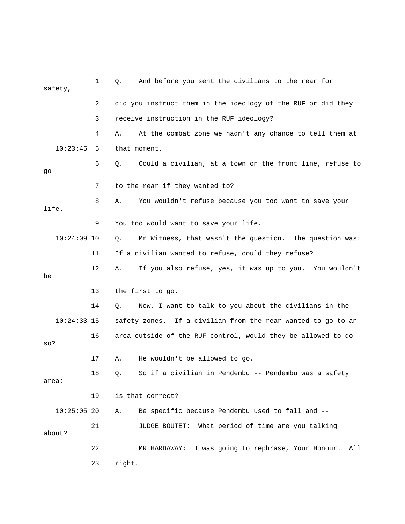|        | safety,       | 1  | And before you sent the civilians to the rear for<br>Q.        |
|--------|---------------|----|----------------------------------------------------------------|
|        |               | 2  | did you instruct them in the ideology of the RUF or did they   |
|        |               | 3  | receive instruction in the RUF ideology?                       |
|        |               | 4  | At the combat zone we hadn't any chance to tell them at<br>Α.  |
|        | 10:23:45      | 5  | that moment.                                                   |
| go     |               | 6  | Could a civilian, at a town on the front line, refuse to<br>Q. |
|        |               | 7  | to the rear if they wanted to?                                 |
| life.  |               | 8  | Α.<br>You wouldn't refuse because you too want to save your    |
|        |               | 9  | You too would want to save your life.                          |
|        | $10:24:09$ 10 |    | Mr Witness, that wasn't the question. The question was:<br>Q.  |
|        |               | 11 | If a civilian wanted to refuse, could they refuse?             |
| be     |               | 12 | If you also refuse, yes, it was up to you. You wouldn't<br>Α.  |
|        |               | 13 | the first to go.                                               |
|        |               | 14 | Now, I want to talk to you about the civilians in the<br>Q.    |
|        | $10:24:33$ 15 |    | safety zones. If a civilian from the rear wanted to go to an   |
| so?    |               | 16 | area outside of the RUF control, would they be allowed to do   |
|        |               | 17 | He wouldn't be allowed to go.<br>Α.                            |
| area;  |               | 18 | So if a civilian in Pendembu -- Pendembu was a safety<br>Q.    |
|        |               | 19 | is that correct?                                               |
|        |               |    |                                                                |
|        | $10:25:05$ 20 |    | Be specific because Pendembu used to fall and --<br>Α.         |
| about? |               | 21 | What period of time are you talking<br><b>JUDGE BOUTET:</b>    |
|        |               | 22 | I was going to rephrase, Your Honour.<br>All<br>MR HARDAWAY:   |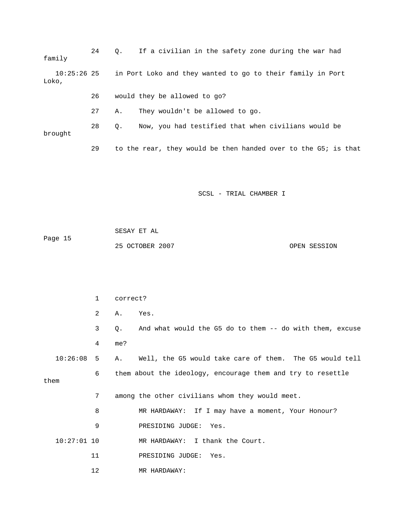24 Q. If a civilian in the safety zone during the war had 27 A. They wouldn't be allowed to go. 28 Q. Now, you had testified that when civilians would be 29 to the rear, they would be then handed over to the G5; is that family 10:25:26 25 in Port Loko and they wanted to go to their family in Port Loko, 26 would they be allowed to go? brought

|         | SESAY ET AL     |              |
|---------|-----------------|--------------|
| Page 15 |                 |              |
|         | 25 OCTOBER 2007 | OPEN SESSION |

|                 | $\mathbf{1}$ | correct?                                                                |
|-----------------|--------------|-------------------------------------------------------------------------|
|                 | 2            | Yes.<br>Α.                                                              |
|                 | 3            | And what would the G5 do to them -- do with them, excuse<br>$Q_{\star}$ |
|                 | 4            | me?                                                                     |
| $10:26:08$ 5    |              | Well, the G5 would take care of them. The G5 would tell<br>A.,          |
| them            | 6            | them about the ideology, encourage them and try to resettle             |
|                 |              |                                                                         |
|                 | 7            | among the other civilians whom they would meet.                         |
|                 | 8            | MR HARDAWAY: If I may have a moment, Your Honour?                       |
|                 | 9            | PRESIDING JUDGE: Yes.                                                   |
| $10:27:01$ $10$ |              | MR HARDAWAY: I thank the Court.                                         |
|                 | 11           | PRESIDING JUDGE: Yes.                                                   |
|                 | 12           | MR HARDAWAY:                                                            |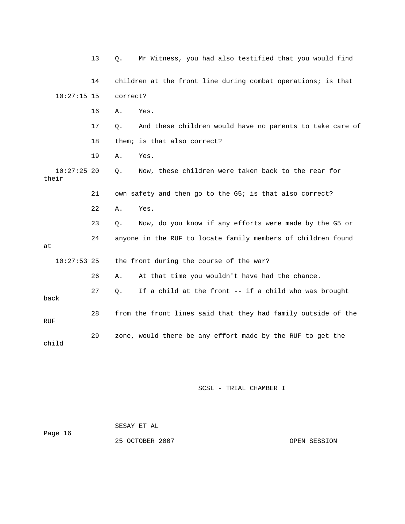|                        | 13 | Mr Witness, you had also testified that you would find<br>Q.   |
|------------------------|----|----------------------------------------------------------------|
|                        | 14 | children at the front line during combat operations; is that   |
| $10:27:15$ 15          |    | correct?                                                       |
|                        | 16 | Yes.<br>Α.                                                     |
|                        | 17 | And these children would have no parents to take care of<br>Q. |
|                        | 18 | them; is that also correct?                                    |
|                        | 19 | Yes.<br>Α.                                                     |
| $10:27:25$ 20<br>their |    | Now, these children were taken back to the rear for<br>Q.      |
|                        | 21 | own safety and then go to the G5; is that also correct?        |
|                        | 22 | Yes.<br>Α.                                                     |
|                        | 23 | Now, do you know if any efforts were made by the G5 or<br>Q.   |
| at                     | 24 | anyone in the RUF to locate family members of children found   |
| $10:27:53$ 25          |    | the front during the course of the war?                        |
|                        | 26 | At that time you wouldn't have had the chance.<br>Α.           |
| back                   | 27 | If a child at the front -- if a child who was brought<br>Q.    |
| RUF                    | 28 | from the front lines said that they had family outside of the  |
| child                  | 29 | zone, would there be any effort made by the RUF to get the     |

| Page 16 | SESAY ET AL     |              |
|---------|-----------------|--------------|
|         | 25 OCTOBER 2007 | OPEN SESSION |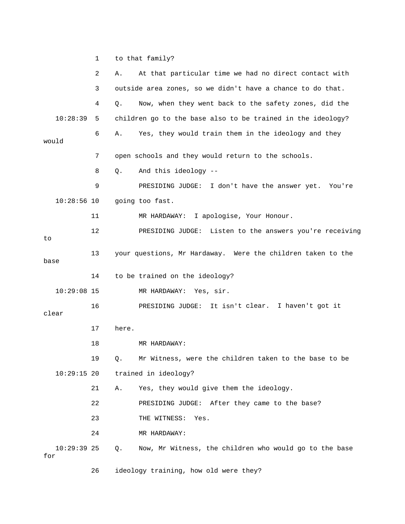1 to that family?

|                      | 2  | At that particular time we had no direct contact with<br>Α.  |  |
|----------------------|----|--------------------------------------------------------------|--|
|                      | 3  | outside area zones, so we didn't have a chance to do that.   |  |
|                      | 4  | Now, when they went back to the safety zones, did the<br>Q.  |  |
| 10:28:39             | 5  | children go to the base also to be trained in the ideology?  |  |
| would                | 6  | Yes, they would train them in the ideology and they<br>Α.    |  |
|                      | 7  | open schools and they would return to the schools.           |  |
|                      | 8  | And this ideology --<br>Q.                                   |  |
|                      | 9  | PRESIDING JUDGE: I don't have the answer yet. You're         |  |
| $10:28:56$ 10        |    | going too fast.                                              |  |
|                      | 11 | MR HARDAWAY: I apologise, Your Honour.                       |  |
| to                   | 12 | PRESIDING JUDGE: Listen to the answers you're receiving      |  |
| base                 | 13 | your questions, Mr Hardaway. Were the children taken to the  |  |
|                      | 14 | to be trained on the ideology?                               |  |
| $10:29:08$ 15        |    | MR HARDAWAY: Yes, sir.                                       |  |
| clear                | 16 | PRESIDING JUDGE: It isn't clear. I haven't got it            |  |
|                      | 17 | here.                                                        |  |
|                      | 18 | MR HARDAWAY:                                                 |  |
|                      | 19 | Mr Witness, were the children taken to the base to be<br>Q.  |  |
| $10:29:15$ 20        |    | trained in ideology?                                         |  |
|                      | 21 | Yes, they would give them the ideology.<br>Α.                |  |
|                      | 22 | PRESIDING JUDGE: After they came to the base?                |  |
|                      | 23 | THE WITNESS:<br>Yes.                                         |  |
|                      | 24 | MR HARDAWAY:                                                 |  |
| $10:29:39$ 25<br>for |    | Now, Mr Witness, the children who would go to the base<br>Q. |  |
|                      | 26 | ideology training, how old were they?                        |  |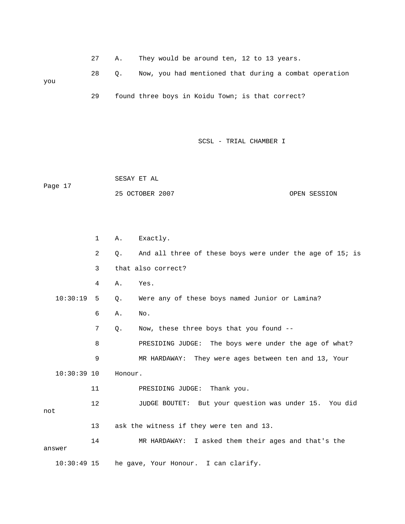27 A. They would be around ten, 12 to 13 years.

28 Q. Now, you had mentioned that during a combat operation 29 found three boys in Koidu Town; is that correct? you

SCSL - TRIAL CHAMBER I

 SESAY ET AL Page 17 25 OCTOBER 2007 OPEN SESSION

 1 A. Exactly. 2 Q. And all three of these boys were under the age of 15; is 3 that also correct? 10:30:19 5 Q. Were any of these boys named Junior or Lamina? 8 BRESIDING JUDGE: The boys were under the age of what? 9 MR HARDAWAY: They were ages between ten and 13, Your 12 JUDGE BOUTET: But your question was under 15. You did not 13 ask the witness if they were ten and 13. 4 A. Yes. 6 A. No. 7 Q. Now, these three boys that you found -- 10:30:39 10 Honour. 11 PRESIDING JUDGE: Thank you. 14 MR HARDAWAY: I asked them their ages and that's the answer 10:30:49 15 he gave, Your Honour. I can clarify.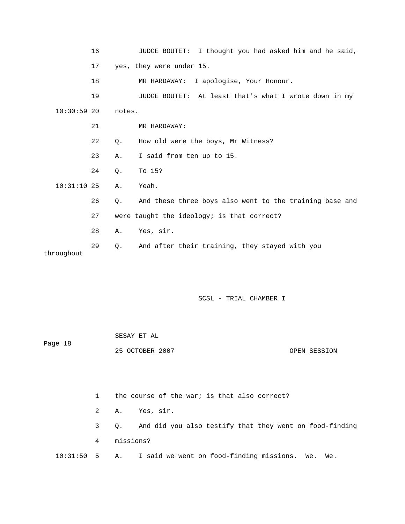|               | 16 |           | JUDGE BOUTET: I thought you had asked him and he said,  |
|---------------|----|-----------|---------------------------------------------------------|
|               | 17 |           | yes, they were under 15.                                |
|               | 18 |           | MR HARDAWAY: I apologise, Your Honour.                  |
|               | 19 |           | JUDGE BOUTET: At least that's what I wrote down in my   |
| $10:30:59$ 20 |    | notes.    |                                                         |
|               | 21 |           | MR HARDAWAY:                                            |
|               | 22 | Ο.        | How old were the boys, Mr Witness?                      |
|               | 23 | Α.        | I said from ten up to 15.                               |
|               | 24 | Q.        | To 15?                                                  |
| $10:31:10$ 25 |    | Α.        | Yeah.                                                   |
|               | 26 | $Q$ .     | And these three boys also went to the training base and |
|               | 27 |           | were taught the ideology; is that correct?              |
|               | 28 | Α.        | Yes, sir.                                               |
| throughout    | 29 | $\circ$ . | And after their training, they stayed with you          |

| Page 18 | SESAY ET AL     |  |              |  |
|---------|-----------------|--|--------------|--|
|         | 25 OCTOBER 2007 |  | OPEN SESSION |  |

1 the course of the war; is that also correct?

2 A. Yes, sir.

 3 Q. And did you also testify that they went on food-finding 4 missions?

10:31:50 5 A. I said we went on food-finding missions. We. We.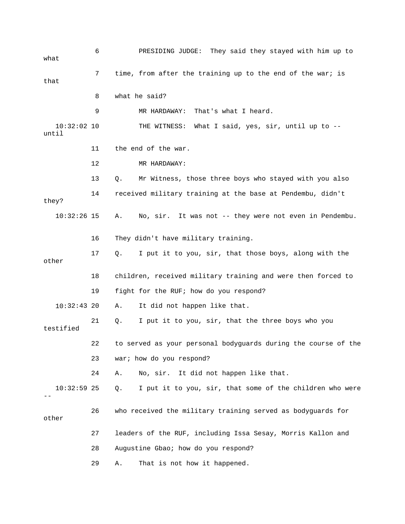6 PRESIDING JUDGE: They said they stayed with him up to 8 what he said? THE WITNESS: What I said, yes,  $\sin$ , until up to -- 13 Q. Mr Witness, those three boys who stayed with you also 14 received military training at the base at Pendembu, didn't 16 They didn't have military training. 18 children, received military training and were then forced to A. It did not happen like that. 21 Q. I put it to you, sir, that the three boys who you 22 to served as your personal bodyguards during the course of the 24 A. No, sir. It did not happen like that. 10:32:59 25 Q. I put it to you, sir, that some of the children who were 26 who received the military training served as bodyguards for 27 leaders of the RUF, including Issa Sesay, Morris Kallon and 29 A. That is not how it happened. what 7 time, from after the training up to the end of the war; is that 9 MR HARDAWAY: That's what I heard.  $10:32:02$  10 until 11 the end of the war. 12 MR HARDAWAY: they? 10:32:26 15 A. No, sir. It was not -- they were not even in Pendembu. 17 Q. I put it to you, sir, that those boys, along with the other 19 fight for the RUF; how do you respond?  $10:32:43$  20 testified 23 war; how do you respond? - other 28 Augustine Gbao; how do you respond?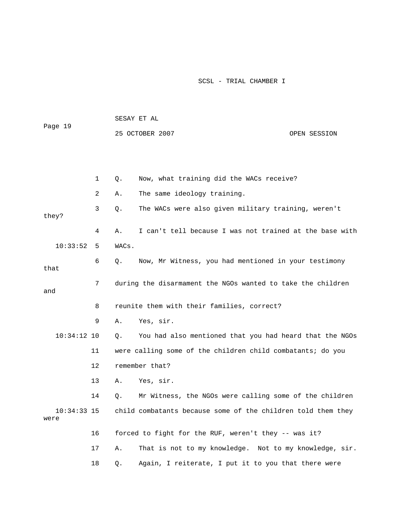| Page 19               |    |       | SESAY ET AL                                                  |              |
|-----------------------|----|-------|--------------------------------------------------------------|--------------|
|                       |    |       | 25 OCTOBER 2007                                              | OPEN SESSION |
|                       |    |       |                                                              |              |
|                       |    |       |                                                              |              |
|                       | 1  | Q.    | Now, what training did the WACs receive?                     |              |
|                       | 2  | Α.    | The same ideology training.                                  |              |
|                       | 3  | Q.    | The WACs were also given military training, weren't          |              |
| they?                 |    |       |                                                              |              |
|                       | 4  | Α.    | I can't tell because I was not trained at the base with      |              |
| 10:33:52              | 5  | WACs. |                                                              |              |
| that                  | 6  | Q.    | Now, Mr Witness, you had mentioned in your testimony         |              |
| and                   | 7  |       | during the disarmament the NGOs wanted to take the children  |              |
|                       | 8  |       | reunite them with their families, correct?                   |              |
|                       | 9  | Α.    | Yes, sir.                                                    |              |
| $10:34:12$ 10         |    | Q.    | You had also mentioned that you had heard that the NGOs      |              |
|                       | 11 |       | were calling some of the children child combatants; do you   |              |
|                       | 12 |       | remember that?                                               |              |
|                       | 13 | Α.    | Yes, sir.                                                    |              |
|                       | 14 | Q.    | Mr Witness, the NGOs were calling some of the children       |              |
| $10:34:33$ 15<br>were |    |       | child combatants because some of the children told them they |              |
|                       | 16 |       | forced to fight for the RUF, weren't they -- was it?         |              |
|                       | 17 | Α.    | That is not to my knowledge. Not to my knowledge, sir.       |              |
|                       | 18 | Q.    | Again, I reiterate, I put it to you that there were          |              |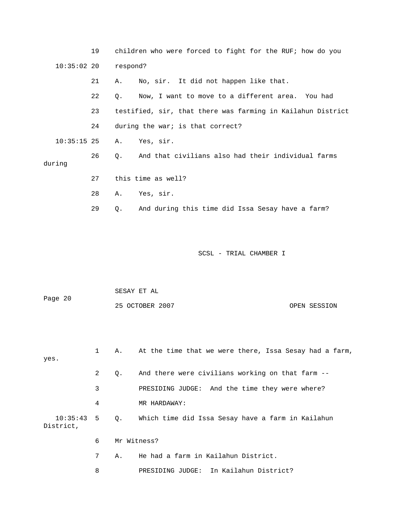|               | 19 | children who were forced to fight for the RUF; how do you   |
|---------------|----|-------------------------------------------------------------|
| $10:35:02$ 20 |    | respond?                                                    |
|               | 21 | No, sir. It did not happen like that.<br>Α.                 |
|               | 22 | Now, I want to move to a different area. You had<br>0.      |
|               | 23 | testified, sir, that there was farming in Kailahun District |
|               | 24 | during the war; is that correct?                            |
| $10:35:15$ 25 |    | Yes, sir.<br>Α.                                             |
| during        | 26 | And that civilians also had their individual farms<br>$Q$ . |
|               | 27 | this time as well?                                          |
|               | 28 | Yes, sir.<br>Α.                                             |
|               | 29 | And during this time did Issa Sesay have a farm?<br>Q.      |
|               |    |                                                             |

| Page 20 | SESAY ET AL     |              |
|---------|-----------------|--------------|
|         | 25 OCTOBER 2007 | OPEN SESSION |

| yes.                         |   |    | A. At the time that we were there, Issa Sesay had a farm, |
|------------------------------|---|----|-----------------------------------------------------------|
|                              | 2 | Q. | And there were civilians working on that farm --          |
|                              | 3 |    | PRESIDING JUDGE: And the time they were where?            |
|                              | 4 |    | MR HARDAWAY:                                              |
| $10:35:43$ 5 Q.<br>District, |   |    | Which time did Issa Sesay have a farm in Kailahun         |
|                              | 6 |    | Mr Witness?                                               |
|                              | 7 | Α. | He had a farm in Kailahun District.                       |
|                              | 8 |    | PRESIDING JUDGE: In Kailahun District?                    |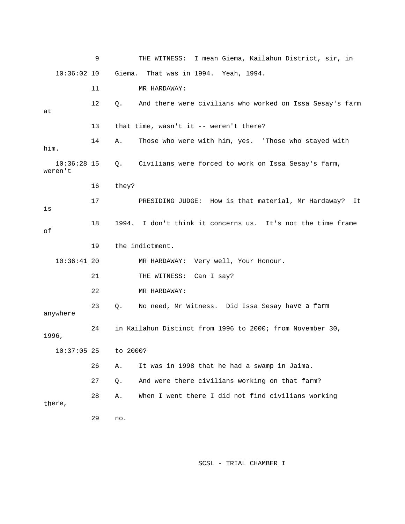|                          | 9  |             | THE WITNESS: I mean Giema, Kailahun District, sir, in       |
|--------------------------|----|-------------|-------------------------------------------------------------|
| $10:36:02$ 10            |    | Giema.      | That was in 1994. Yeah, 1994.                               |
|                          | 11 |             | MR HARDAWAY:                                                |
| at                       | 12 | Q.          | And there were civilians who worked on Issa Sesay's farm    |
|                          | 13 |             | that time, wasn't it -- weren't there?                      |
| him.                     | 14 | Α.          | Those who were with him, yes. 'Those who stayed with        |
| $10:36:28$ 15<br>weren't |    | $Q_{\star}$ | Civilians were forced to work on Issa Sesay's farm,         |
|                          | 16 | they?       |                                                             |
| is                       | 17 |             | PRESIDING JUDGE: How is that material, Mr Hardaway?<br>It   |
| оf                       | 18 |             | 1994. I don't think it concerns us. It's not the time frame |
|                          | 19 |             | the indictment.                                             |
| $10:36:41$ 20            |    |             | MR HARDAWAY: Very well, Your Honour.                        |
|                          | 21 |             | THE WITNESS: Can I say?                                     |
|                          | 22 |             | MR HARDAWAY:                                                |
| anywhere                 | 23 | $Q$ .       | No need, Mr Witness. Did Issa Sesay have a farm             |
| 1996,                    | 24 |             | in Kailahun Distinct from 1996 to 2000; from November 30,   |
| $10:37:05$ 25            |    | to 2000?    |                                                             |
|                          | 26 | Α.          | It was in 1998 that he had a swamp in Jaima.                |
|                          | 27 | Q.          | And were there civilians working on that farm?              |
| there,                   | 28 | Α.          | When I went there I did not find civilians working          |
|                          | 29 | no.         |                                                             |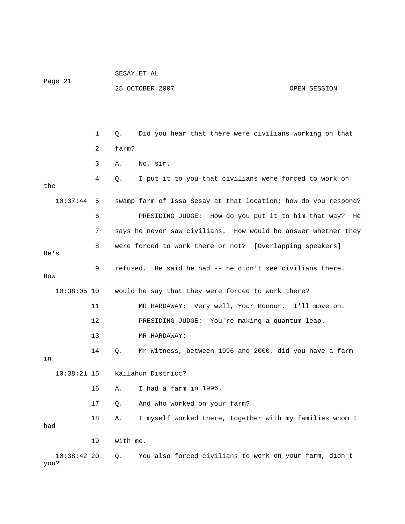| Page 21           |    |          | SESAY ET AL                                                    |              |
|-------------------|----|----------|----------------------------------------------------------------|--------------|
|                   |    |          | 25 OCTOBER 2007                                                | OPEN SESSION |
|                   |    |          |                                                                |              |
|                   |    |          |                                                                |              |
|                   | 1  | Q.       | Did you hear that there were civilians working on that         |              |
|                   | 2  | farm?    |                                                                |              |
|                   | 3  | Α.       | No, sir.                                                       |              |
| the               | 4  | Q.       | I put it to you that civilians were forced to work on          |              |
| 10:37:44          | 5  |          | swamp farm of Issa Sesay at that location; how do you respond? |              |
|                   | 6  |          | PRESIDING JUDGE: How do you put it to him that way? He         |              |
|                   | 7  |          | says he never saw civilians. How would he answer whether they  |              |
| He's              | 8  |          | were forced to work there or not? [Overlapping speakers]       |              |
| How               | 9  |          | refused. He said he had -- he didn't see civilians there.      |              |
| $10:38:05$ 10     |    |          | would he say that they were forced to work there?              |              |
|                   | 11 |          | MR HARDAWAY: Very well, Your Honour. I'll move on.             |              |
|                   | 12 |          | PRESIDING JUDGE: You're making a quantum leap.                 |              |
|                   | 13 |          | MR HARDAWAY:                                                   |              |
| in                | 14 | Q.       | Mr Witness, between 1996 and 2000, did you have a farm         |              |
| $10:38:21$ 15     |    |          | Kailahun District?                                             |              |
|                   | 16 | Α.       | I had a farm in 1996.                                          |              |
|                   | 17 | Q.       | And who worked on your farm?                                   |              |
| had               | 18 | Α.       | I myself worked there, together with my families whom I        |              |
|                   | 19 | with me. |                                                                |              |
| 10:38:422<br>you? |    | Q.       | You also forced civilians to work on your farm, didn't         |              |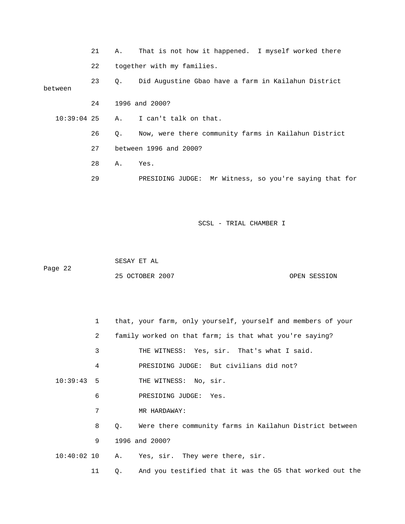|                  | 21 | Α. | That is not how it happened. I myself worked there        |
|------------------|----|----|-----------------------------------------------------------|
|                  | 22 |    | together with my families.                                |
| 23<br>between    |    | Q. | Did Augustine Gbao have a farm in Kailahun District       |
|                  | 24 |    | 1996 and 2000?                                            |
| $10:39:04$ 25 A. |    |    | I can't talk on that.                                     |
|                  | 26 | Q. | Now, were there community farms in Kailahun District      |
|                  | 27 |    | between 1996 and 2000?                                    |
|                  | 28 | Α. | Yes.                                                      |
|                  | 29 |    | Mr Witness, so you're saying that for<br>PRESIDING JUDGE: |

 SESAY ET AL ge 22 25 OCTOBER 2007 OPEN SESSION Pa

| $\mathbf{1}$  | that, your farm, only yourself, yourself and members of your   |
|---------------|----------------------------------------------------------------|
| 2             | family worked on that farm; is that what you're saying?        |
| 3             | THE WITNESS: Yes, sir. That's what I said.                     |
| 4             | PRESIDING JUDGE: But civilians did not?                        |
| $10:39:43$ 5  | THE WITNESS: No, sir.                                          |
| 6             | PRESIDING JUDGE:<br>Yes.                                       |
| 7             | MR HARDAWAY:                                                   |
| 8             | Were there community farms in Kailahun District between<br>0.  |
| 9             | 1996 and 2000?                                                 |
| $10:40:02$ 10 | Yes, sir. They were there, sir.<br>A.                          |
| 11            | And you testified that it was the G5 that worked out the<br>Q. |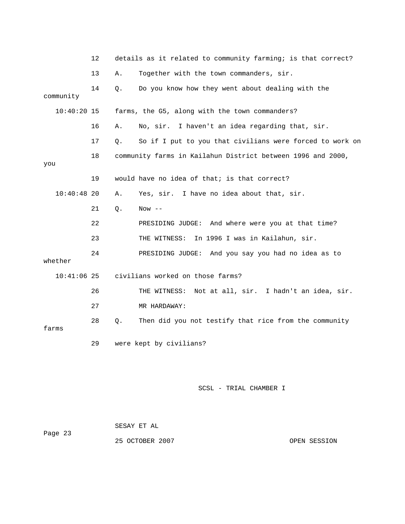|               | 12 |       | details as it related to community farming; is that correct? |
|---------------|----|-------|--------------------------------------------------------------|
|               | 13 | Α.    | Together with the town commanders, sir.                      |
| community     | 14 | Q.    | Do you know how they went about dealing with the             |
| $10:40:20$ 15 |    |       | farms, the G5, along with the town commanders?               |
|               | 16 | Α.    | No, sir. I haven't an idea regarding that, sir.              |
|               | 17 | Q.    | So if I put to you that civilians were forced to work on     |
| you           | 18 |       | community farms in Kailahun District between 1996 and 2000,  |
|               | 19 |       | would have no idea of that; is that correct?                 |
| $10:40:48$ 20 |    | Α.    | Yes, sir. I have no idea about that, sir.                    |
|               | 21 | Q.    | Now $--$                                                     |
|               | 22 |       | PRESIDING JUDGE: And where were you at that time?            |
|               | 23 |       | In 1996 I was in Kailahun, sir.<br>THE WITNESS:              |
| whether       | 24 |       | PRESIDING JUDGE: And you say you had no idea as to           |
| $10:41:06$ 25 |    |       | civilians worked on those farms?                             |
|               | 26 |       | THE WITNESS: Not at all, sir. I hadn't an idea, sir.         |
|               | 27 |       | MR HARDAWAY:                                                 |
| farms         | 28 | $Q$ . | Then did you not testify that rice from the community        |
|               | 29 |       | were kept by civilians?                                      |

|         | SESAY ET AL     |              |
|---------|-----------------|--------------|
| Page 23 |                 |              |
|         | 25 OCTOBER 2007 | OPEN SESSION |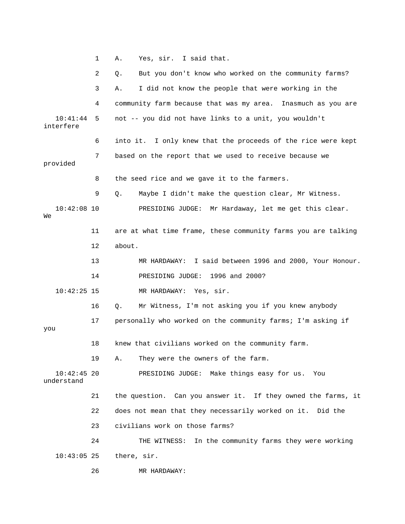1 A. Yes, sir. I said that. 2 Q. But you don't know who worked on the community farms? 3 A. I did not know the people that were working in the 4 community farm because that was my area. Inasmuch as you are  $10:41:44$  5 not -- you did not have links to a unit, you wouldn't

> 6 into it. I only knew that the proceeds of the rice were kept 7 based on the report that we used to receive because we

8 the seed rice and we gave it to the farmers.

9 Q. Maybe I didn't make the question clear, Mr Witness.

 10:42:08 10 PRESIDING JUDGE: Mr Hardaway, let me get this clear. We

> 11 are at what time frame, these community farms you are talking 12 about.

13 MR HARDAWAY: I said between 1996 and 2000, Your Honour.

14 PRESIDING JUDGE: 1996 and 2000?

10:42:25 15 MR HARDAWAY: Yes, sir.

Mr Witness, I'm not asking you if you knew anybody 16 Q. Mr

17 personally who worked on the community farms; I'm asking if

you

interfere

provided

18 knew that civilians worked on the community farm.

19 A. They were the owners of the farm.

 10:42:45 20 PRESIDING JUDGE: Make things easy for us. You understand

 21 the question. Can you answer it. If they owned the farms, it 22 does not mean that they necessarily worked on it. Did the 23 civilians work on those farms? 24 THE WITNESS: In the community farms they were working

10:43:05 25 there, sir.

26 MR HARDAWAY: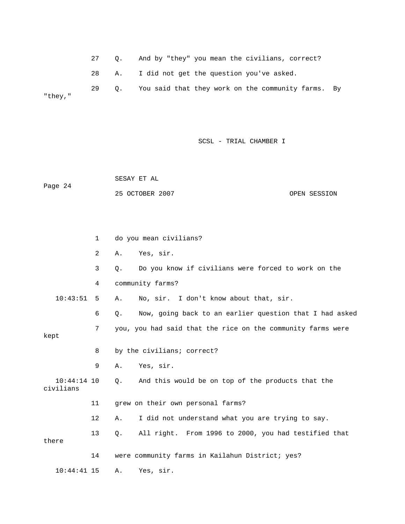27 Q. And by "they" you mean the civilians, correct?

28 A. I did not get the question you've asked.

29 Q. You said that they work on the community farms. By "they,"

SCSL - TRIAL CHAMBER I

 SESAY ET AL Page 24 OPEN SESSION 25 OCTOBER 2007

 3 Q. Do you know if civilians were forced to work on the 4 community farms? 10:43:51 5 A. No, sir. I don't know about that, sir. 6 Q. Now, going back to an earlier question that I had asked kept 8 by the civilians; correct? 9 A. Yes, sir. 10:44:14 10 Q. And this would be on top of the products that the 11 grew on their own personal farms? 12 A. I did not understand what you are trying to say. 13 Q. All right. From 1996 to 2000, you had testified that 14 were community farms in Kailahun District; yes? 10:44:41 15 A. Yes, sir. 1 do you mean civilians? 2 A. Yes, sir. 7 you, you had said that the rice on the community farms were civilians there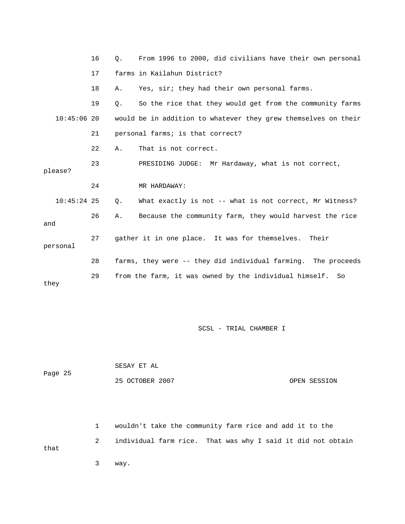|               | 16 | 0. | From 1996 to 2000, did civilians have their own personal       |
|---------------|----|----|----------------------------------------------------------------|
|               | 17 |    | farms in Kailahun District?                                    |
|               | 18 | Α. | Yes, sir; they had their own personal farms.                   |
|               | 19 | Q. | So the rice that they would get from the community farms       |
| $10:45:06$ 20 |    |    | would be in addition to whatever they grew themselves on their |
|               | 21 |    | personal farms; is that correct?                               |
|               | 22 | Α. | That is not correct.                                           |
| please?       | 23 |    | PRESIDING JUDGE: Mr Hardaway, what is not correct,             |
|               | 24 |    | MR HARDAWAY:                                                   |
| $10:45:24$ 25 |    | Q. | What exactly is not -- what is not correct, Mr Witness?        |
| and           | 26 | Α. | Because the community farm, they would harvest the rice        |
| personal      | 27 |    | gather it in one place. It was for themselves.<br>Their        |
|               | 28 |    | farms, they were -- they did individual farming. The proceeds  |
| they          | 29 |    | from the farm, it was owned by the individual himself.<br>So   |

|         | SESAY ET AL     |              |
|---------|-----------------|--------------|
| Page 25 |                 |              |
|         | 25 OCTOBER 2007 | OPEN SESSION |

2 individual farm rice. That was why I said it did not obtain that 1 wouldn't take the community farm rice and add it to the

3 way.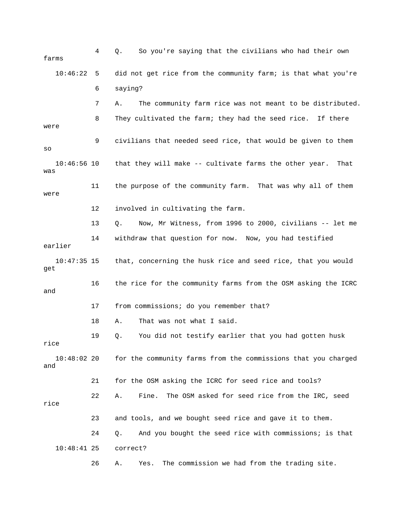| farms                | 4   | So you're saying that the civilians who had their own<br>Q.      |
|----------------------|-----|------------------------------------------------------------------|
| 10:46:22             | - 5 | did not get rice from the community farm; is that what you're    |
|                      | 6   | saying?                                                          |
|                      | 7   | The community farm rice was not meant to be distributed.<br>Α.   |
| were                 | 8   | They cultivated the farm; they had the seed rice.<br>If there    |
| SO                   | 9   | civilians that needed seed rice, that would be given to them     |
| $10:46:56$ 10<br>was |     | that they will make -- cultivate farms the other year.<br>That   |
| were                 | 11  | the purpose of the community farm. That was why all of them      |
|                      | 12  | involved in cultivating the farm.                                |
|                      | 13  | Now, Mr Witness, from 1996 to 2000, civilians -- let me<br>$Q$ . |
| earlier              | 14  | withdraw that question for now. Now, you had testified           |
| $10:47:35$ 15<br>get |     | that, concerning the husk rice and seed rice, that you would     |
| and                  | 16  | the rice for the community farms from the OSM asking the ICRC    |
|                      | 17  | from commissions; do you remember that?                          |
|                      | 18  | That was not what I said.<br>Α.                                  |
| rice                 | 19  | You did not testify earlier that you had gotten husk<br>Q.       |
| $10:48:02$ 20<br>and |     | for the community farms from the commissions that you charged    |
|                      | 21  | for the OSM asking the ICRC for seed rice and tools?             |
| rice                 | 22  | The OSM asked for seed rice from the IRC, seed<br>Fine.<br>Α.    |
|                      | 23  | and tools, and we bought seed rice and gave it to them.          |
|                      | 24  | And you bought the seed rice with commissions; is that<br>Q.     |
| $10:48:41$ 25        |     | correct?                                                         |
|                      | 26  | The commission we had from the trading site.<br>Yes.<br>Α.       |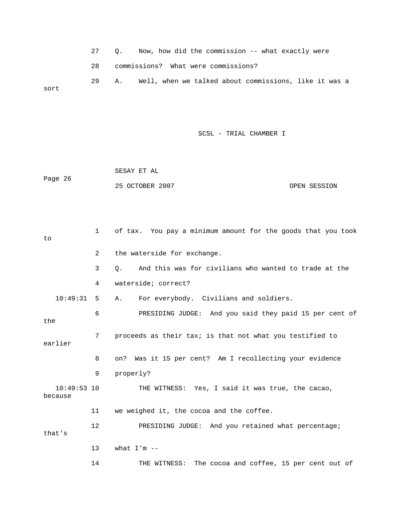27 Q. Now, how did the commission -- what exactly were 28 commissions? What were commissions?

 29 A. Well, when we talked about commissions, like it was a sort

SCSL - TRIAL CHAMBER I

 SESAY ET AL Page 26 25 OCTOBER 2007 OPEN SESSION

 2 the waterside for exchange. 3 Q. And this was for civilians who wanted to trade at the 4 waterside; correct? A. For everybody. Civilians and soldiers. 6 BRESIDING JUDGE: And you said they paid 15 per cent of the 7 proceeds as their tax; is that not what you testified to 8 on? Was it 15 per cent? Am I recollecting your evidence 10:49:53 10 THE WITNESS: Yes, I said it was true, the cacao, 11 we weighed it, the cocoa and the coffee. 12 PRESIDING JUDGE: And you retained what percentage; 14 THE WITNESS: The cocoa and coffee, 15 per cent out of 1 of tax. You pay a minimum amount for the goods that you took to  $10:49:31 5$ earlier 9 properly? because that's 13 what  $I'm$  --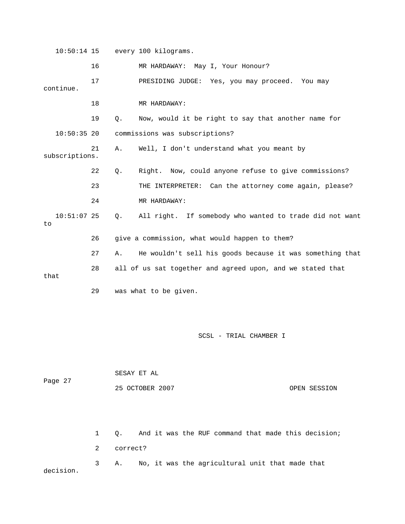10:50:14 15 every 100 kilograms. 16 MR HARDAWAY: May I, Your Honour? 17 PRESIDING JUDGE: Yes, you may proceed. You may continue. 19 Q. Now, would it be right to say that another name for 10:50:35 20 commissions was subscriptions? 21 A. Well, I don't understand what you meant by subscriptions. 22 Q. Right. Now, could anyone refuse to give commissions? 23 THE INTERPRETER: Can the attorney come again, please? 24 MR HARDAWAY: Q. All right. If somebody who wanted to trade did not want 27 A. He wouldn't sell his goods because it was something that 28 all of us sat together and agreed upon, and we stated that 29 was what to be given. 18 MR HARDAWAY: 10:51:07 25 to 26 give a commission, what would happen to them? that

| Page 27   |                | SESAY ET AL |                                                     |  |  |  |
|-----------|----------------|-------------|-----------------------------------------------------|--|--|--|
|           |                |             | 25 OCTOBER 2007<br>OPEN SESSION                     |  |  |  |
|           |                |             |                                                     |  |  |  |
|           | 1              | Q.          | And it was the RUF command that made this decision; |  |  |  |
|           | 2              | correct?    |                                                     |  |  |  |
| decision. | 3 <sup>7</sup> | Α.          | No, it was the agricultural unit that made that     |  |  |  |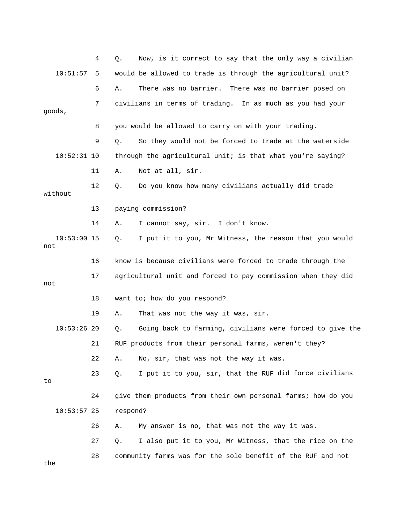|           |               | 4  | Now, is it correct to say that the only way a civilian<br>Q.    |
|-----------|---------------|----|-----------------------------------------------------------------|
|           | 10:51:57      | 5  | would be allowed to trade is through the agricultural unit?     |
|           |               | 6  | There was no barrier.<br>There was no barrier posed on<br>Α.    |
|           | goods,        | 7  | civilians in terms of trading. In as much as you had your       |
|           |               |    |                                                                 |
|           |               | 8  | you would be allowed to carry on with your trading.             |
|           |               | 9  | So they would not be forced to trade at the waterside<br>Q.     |
|           | $10:52:31$ 10 |    | through the agricultural unit; is that what you're saying?      |
|           |               | 11 | Not at all, sir.<br>Α.                                          |
|           | without       | 12 | Do you know how many civilians actually did trade<br>Q.         |
|           |               | 13 | paying commission?                                              |
|           |               | 14 | I cannot say, sir. I don't know.<br>Α.                          |
| not       | $10:53:00$ 15 |    | I put it to you, Mr Witness, the reason that you would<br>Q.    |
|           |               | 16 | know is because civilians were forced to trade through the      |
| 17<br>not |               |    | agricultural unit and forced to pay commission when they did    |
|           |               | 18 | want to; how do you respond?                                    |
|           |               | 19 | That was not the way it was, sir.<br>Α.                         |
|           | $10:53:26$ 20 |    | Going back to farming, civilians were forced to give the<br>Q.  |
|           |               | 21 | RUF products from their personal farms, weren't they?           |
|           |               | 22 | No, sir, that was not the way it was.<br>Α.                     |
| to        |               | 23 | $Q$ .<br>I put it to you, sir, that the RUF did force civilians |
|           |               | 24 | give them products from their own personal farms; how do you    |
|           | $10:53:57$ 25 |    | respond?                                                        |
|           |               | 26 | My answer is no, that was not the way it was.<br>Α.             |
|           |               | 27 | I also put it to you, Mr Witness, that the rice on the<br>Q.    |
| the       |               | 28 | community farms was for the sole benefit of the RUF and not     |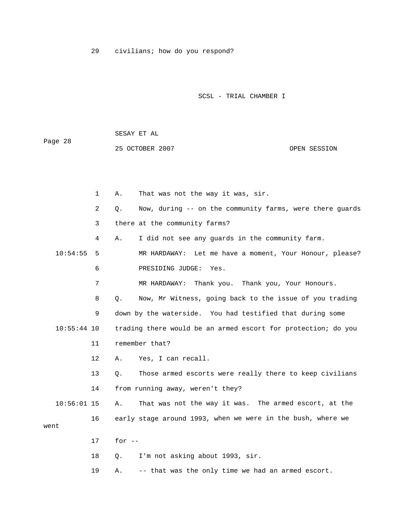29 civilians; how do you respond?

SESAY ET AL

25 OCTOBER 2007

Page 28

SCSL - TRIAL CHAMBER I

OPEN SESSION

2 Q. Now, during -- on the community farms, were there guards 3 there at the community farms? 4 A. I did not see any guards in the community farm. 10:54:55 5 MR HARDAWAY: Let me have a moment, Your Honour, please? Thank you, Your Honours. 7 MR HARDAWAY: Thank you. 8 Q. Now, Mr Witness, going back to the issue of you trading 10:55:44 10 trading there would be an armed escort for protection; do you 13 Q. Those armed escorts were really there to keep civilians That was not the way it was. The armed escort, at the 16 early stage around 1993, when we were in the bush, where we went 18 Q. I'm not asking about 1993, sir. 19 A. -- that was the only time we had an armed escort. 1 A. That was not the way it was, sir. 6 PRESIDING JUDGE: Yes. 9 down by the waterside. You had testified that during some 11 remember that? 12 A. Yes, I can recall. 14 from running away, weren't they?  $10:56:01$  15 A. 17 for --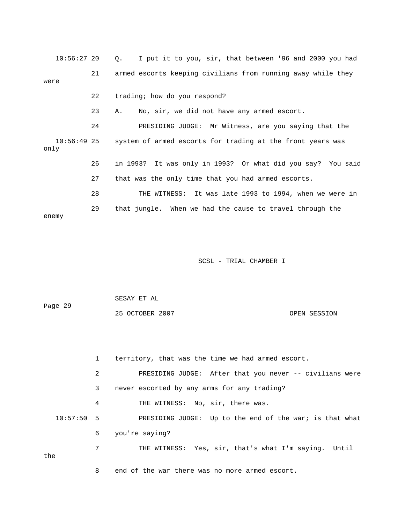| $10:56:27$ 20 |    | I put it to you, sir, that between '96 and 2000 you had<br>Q.          |
|---------------|----|------------------------------------------------------------------------|
| were          | 21 | armed escorts keeping civilians from running away while they           |
|               | 22 | trading; how do you respond?                                           |
|               | 23 | No, sir, we did not have any armed escort.<br>Α.                       |
|               | 24 | PRESIDING JUDGE: Mr Witness, are you saying that the                   |
| only          |    | 10:56:49 25 system of armed escorts for trading at the front years was |
|               | 26 | in 1993? It was only in 1993? Or what did you say? You said            |
|               | 27 | that was the only time that you had armed escorts.                     |
|               | 28 | THE WITNESS: It was late 1993 to 1994, when we were in                 |
| enemy         | 29 | that jungle. When we had the cause to travel through the               |

| Page 29 | SESAY ET AL     |              |
|---------|-----------------|--------------|
|         | 25 OCTOBER 2007 | OPEN SESSION |

|              | $\mathbf{1}$ | territory, that was the time we had armed escort.       |
|--------------|--------------|---------------------------------------------------------|
|              | 2            | PRESIDING JUDGE: After that you never -- civilians were |
|              | 3            | never escorted by any arms for any trading?             |
|              | 4            | THE WITNESS: No, sir, there was.                        |
| $10:57:50$ 5 |              | PRESIDING JUDGE: Up to the end of the war; is that what |
|              | 6            | you're saying?                                          |
| the          | 7            | THE WITNESS: Yes, sir, that's what I'm saying. Until    |
|              | 8            | end of the war there was no more armed escort.          |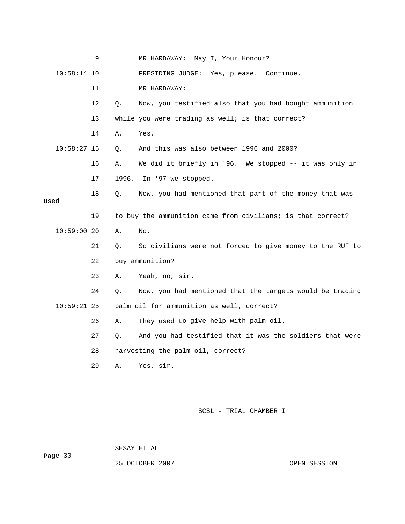|      |               | 9  |       | MR HARDAWAY:<br>May I, Your Honour?                         |
|------|---------------|----|-------|-------------------------------------------------------------|
|      | $10:58:14$ 10 |    |       | PRESIDING JUDGE: Yes, please. Continue.                     |
|      |               | 11 |       | MR HARDAWAY:                                                |
|      |               | 12 | Q.    | Now, you testified also that you had bought ammunition      |
|      |               | 13 |       | while you were trading as well; is that correct?            |
|      | $10:58:27$ 15 | 14 | Α.    | Yes.                                                        |
|      |               |    | Q.    | And this was also between 1996 and 2000?                    |
|      |               | 16 | Α.    | We did it briefly in '96. We stopped -- it was only in      |
|      |               | 17 | 1996. | In '97 we stopped.                                          |
|      |               | 18 | Q.    | Now, you had mentioned that part of the money that was      |
| used |               |    |       |                                                             |
|      |               | 19 |       | to buy the ammunition came from civilians; is that correct? |
|      | 10:59:0020    |    | Α.    | No.                                                         |
|      |               | 21 | Q.    | So civilians were not forced to give money to the RUF to    |
|      |               | 22 |       | buy ammunition?                                             |
|      |               | 23 | Α.    | Yeah, no, sir.                                              |
|      | $10:59:21$ 25 | 24 | Q.    | Now, you had mentioned that the targets would be trading    |
|      |               |    |       | palm oil for ammunition as well, correct?                   |
|      |               | 26 | Α.    | They used to give help with palm oil.                       |
|      |               | 27 | Q.    | And you had testified that it was the soldiers that were    |
|      |               | 28 |       | harvesting the palm oil, correct?                           |
|      |               | 29 | Α.    | Yes, sir.                                                   |
|      |               |    |       |                                                             |

ge 30 Pa

SESAY ET AL

25 OCTOBER 2007 CONSIDERED AT A SESSION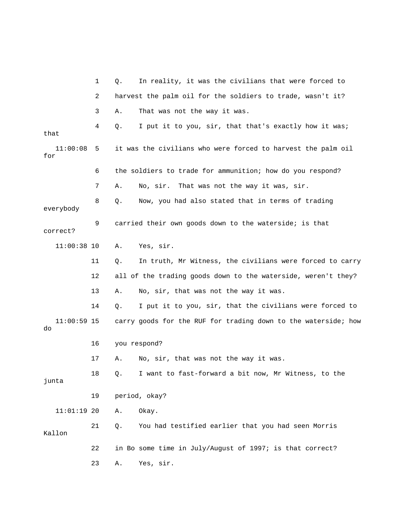|                     | 1  | Q. | In reality, it was the civilians that were forced to           |
|---------------------|----|----|----------------------------------------------------------------|
|                     | 2  |    | harvest the palm oil for the soldiers to trade, wasn't it?     |
|                     | 3  | Α. | That was not the way it was.                                   |
| that                | 4  | Q. | I put it to you, sir, that that's exactly how it was;          |
| 11:00:08<br>for     | 5  |    | it was the civilians who were forced to harvest the palm oil   |
|                     | 6  |    | the soldiers to trade for ammunition; how do you respond?      |
|                     | 7  | Α. | That was not the way it was, sir.<br>No, sir.                  |
| everybody           | 8  | Q. | Now, you had also stated that in terms of trading              |
| correct?            | 9  |    | carried their own goods down to the waterside; is that         |
| $11:00:38$ 10       |    | Α. | Yes, sir.                                                      |
|                     | 11 | Q. | In truth, Mr Witness, the civilians were forced to carry       |
|                     | 12 |    | all of the trading goods down to the waterside, weren't they?  |
|                     | 13 | Α. | No, sir, that was not the way it was.                          |
|                     | 14 | Q. | I put it to you, sir, that the civilians were forced to        |
| $11:00:59$ 15<br>do |    |    | carry goods for the RUF for trading down to the waterside; how |
|                     | 16 |    | you respond?                                                   |
|                     | 17 | Α. | No, sir, that was not the way it was.                          |
| junta               | 18 | О. | I want to fast-forward a bit now, Mr Witness, to the           |
|                     | 19 |    | period, okay?                                                  |
| $11:01:19$ 20       |    | Α. | Okay.                                                          |
| Kallon              | 21 | Q. | You had testified earlier that you had seen Morris             |
|                     | 22 |    | in Bo some time in July/August of 1997; is that correct?       |
|                     | 23 | Α. | Yes, sir.                                                      |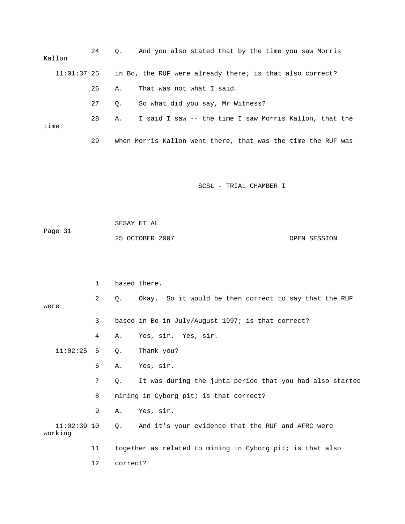| Kallon |               | 24 | 0.                                                           | And you also stated that by the time you saw Morris      |
|--------|---------------|----|--------------------------------------------------------------|----------------------------------------------------------|
|        | $11:01:37$ 25 |    |                                                              | in Bo, the RUF were already there; is that also correct? |
|        |               | 26 | Α.                                                           | That was not what I said.                                |
| time   | 27            | 0. | So what did you say, Mr Witness?                             |                                                          |
|        | 28            | Α. | I said I saw -- the time I saw Morris Kallon, that the       |                                                          |
|        | 29            |    | when Morris Kallon went there, that was the time the RUF was |                                                          |

 SESAY ET AL ge 31 OPEN SESSION Pa 25 OCTOBER 2007

|                          | 1  |          | based there.                                              |
|--------------------------|----|----------|-----------------------------------------------------------|
| were                     | 2  | $Q$ .    | Okay. So it would be then correct to say that the RUF     |
|                          | 3  |          | based in Bo in July/August 1997; is that correct?         |
|                          | 4  | Α.       | Yes, sir. Yes, sir.                                       |
| 11:02:25                 | 5  | Q.       | Thank you?                                                |
|                          | 6  | Α.       | Yes, sir.                                                 |
|                          | 7  | Q.       | It was during the junta period that you had also started  |
|                          | 8  |          | mining in Cyborg pit; is that correct?                    |
|                          | 9  | Α.       | Yes, sir.                                                 |
| $11:02:39$ 10<br>working |    | Q.       | And it's your evidence that the RUF and AFRC were         |
|                          | 11 |          | together as related to mining in Cyborg pit; is that also |
|                          | 12 | correct? |                                                           |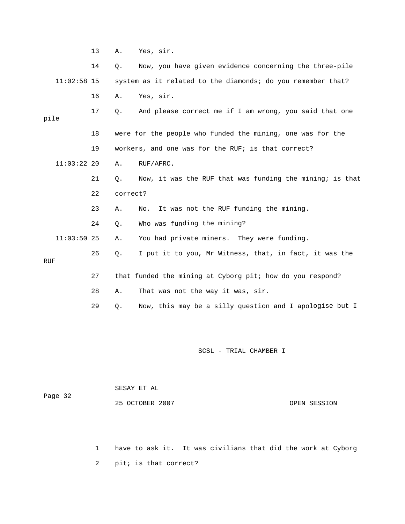13 A. Yes, sir. 14 Q. Now, you have given evidence concerning the three-pile 16 A. Yes, sir. 17 Q. And please correct me if I am wrong, you said that one pile 18 were for the people who funded the mining, one was for the 19 workers, and one was for the RUF; is that correct? 11:03:22 20 A. RUF/AFRC. 21 Q. Now, it was the RUF that was funding the mining; is that 24 Q. Who was funding the mining? 26 Q. I put it to you, Mr Witness, that, in fact, it was the 27 that funded the mining at Cyborg pit; how do you respond? 28 A. That was not the way it was, sir. 29 Q. Now, this may be a silly question and I apologise but I 11:02:58 15 system as it related to the diamonds; do you remember that? 22 correct? 23 A. No. It was not the RUF funding the mining. 11:03:50 25 A. You had private miners. They were funding. RUF

SCSL - TRIAL CHAMBER I

 SESAY ET AL Page 32 25 OCTOBER 2007 OPEN SESSION

> 1 have to ask it. It was civilians that did the work at Cyborg 2 pit; is that correct?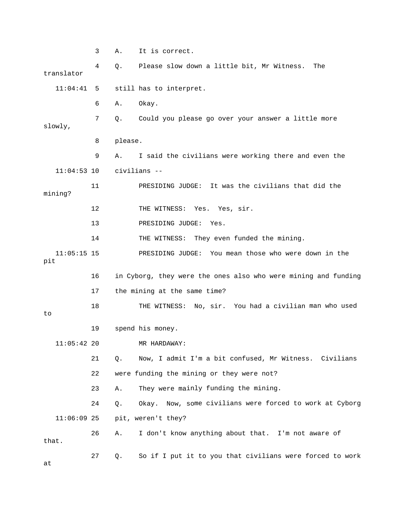3 A. It is correct. 4 Q. Please slow down a little bit, Mr Witness. The translator 11:04:41 5 still has to interpret. 7 Q. Could you please go over your answer a little more 8 please. 9 A. I said the civilians were working there and even the 11 PRESIDING JUDGE: It was the civilians that did the 12 THE WITNESS: Yes. Yes, sir. 13 PRESIDING JUDGE: Yes. PRESIDING JUDGE: You mean those who were down in the 16 in Cyborg, they were the ones also who were mining and funding 17 the mining at the same time? 18 THE WITNESS: No, sir. You had a civilian man who used 19 spend his money. 11:05:42 20 MR HARDAWAY: 21 Q. Now, I admit I'm a bit confused, Mr Witness. Civilians 23 A. They were mainly funding the mining. me civilians were forced to work at Cyborg 24 Q. Okay. Now, so 26 A. I don't know anything about that. I'm not aware of 27 Q. So if I put it to you that civilians were forced to work 6 A. Okay. slowly, 11:04:53 10 civilians - mining? 14 THE WITNESS: They even funded the mining.  $11:05:15$  15 pit to 22 were funding the mining or they were not? 11:06:09 25 pit, weren't they? that. at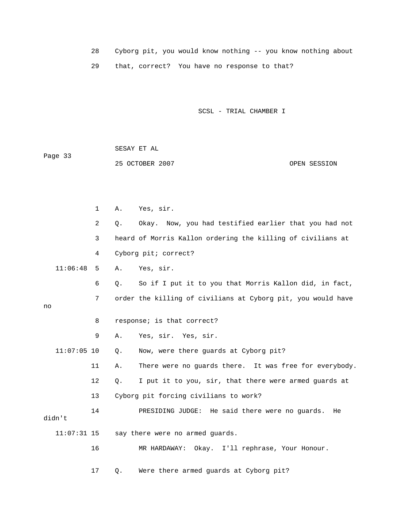28 Cyborg pit, you would know nothing -- you know nothing about 29 that, correct? You have no response to that?

SCSL - TRIAL CHAMBER I

| Page 33 | SESAY ET AL     |              |
|---------|-----------------|--------------|
|         | 25 OCTOBER 2007 | OPEN SESSION |

|    |               | $\mathbf{1}$   | Α.    | Yes, sir.                                                    |
|----|---------------|----------------|-------|--------------------------------------------------------------|
|    |               | $\overline{2}$ | Q.    | Okay. Now, you had testified earlier that you had not        |
|    |               | 3              |       | heard of Morris Kallon ordering the killing of civilians at  |
|    |               | 4              |       | Cyborg pit; correct?                                         |
|    | 11:06:48      | 5              | Α.    | Yes, sir.                                                    |
|    |               | 6              | Q.    | So if I put it to you that Morris Kallon did, in fact,       |
| no |               | 7              |       | order the killing of civilians at Cyborg pit, you would have |
|    |               | 8              |       | response; is that correct?                                   |
|    |               | 9              | Α.    | Yes, sir. Yes, sir.                                          |
|    | $11:07:05$ 10 |                | $Q$ . | Now, were there guards at Cyborg pit?                        |
|    |               | 11             | Α.    | There were no guards there. It was free for everybody.       |
|    |               | 12             | Q.    | I put it to you, sir, that there were armed guards at        |
|    |               | 13             |       | Cyborg pit forcing civilians to work?                        |
|    | didn't        | 14             |       | PRESIDING JUDGE: He said there were no guards.<br>He         |
|    | $11:07:31$ 15 |                |       | say there were no armed guards.                              |
|    |               | 16             |       | MR HARDAWAY: Okay. I'll rephrase, Your Honour.               |
|    |               |                |       |                                                              |

17 Q. Were there armed guards at Cyborg pit?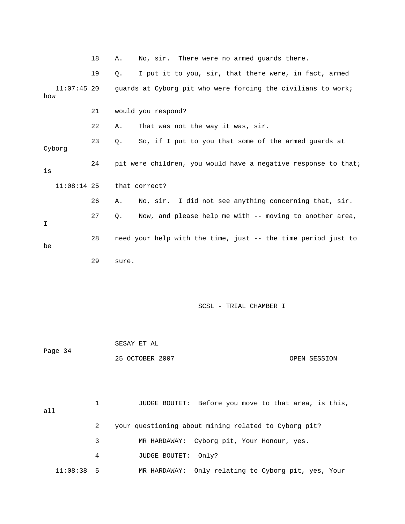|                      | 18 | No, sir. There were no armed guards there.<br>Α.               |
|----------------------|----|----------------------------------------------------------------|
|                      | 19 | I put it to you, sir, that there were, in fact, armed<br>Q.    |
| $11:07:45$ 20<br>how |    | guards at Cyborg pit who were forcing the civilians to work;   |
|                      | 21 | would you respond?                                             |
|                      | 22 | That was not the way it was, sir.<br>Α.                        |
| Cyborg               | 23 | So, if I put to you that some of the armed guards at<br>Q.     |
| is                   | 24 | pit were children, you would have a negative response to that; |
| $11:08:14$ 25        |    | that correct?                                                  |
|                      | 26 | No, sir. I did not see anything concerning that, sir.<br>Α.    |
| I                    | 27 | Now, and please help me with -- moving to another area,<br>Q.  |
| be                   | 28 | need your help with the time, just -- the time period just to  |
|                      | 29 | sure.                                                          |
|                      |    |                                                                |
|                      |    |                                                                |
|                      |    | SCSL - TRIAL CHAMBER I                                         |
|                      |    |                                                                |
|                      |    | SESAY ET AL                                                    |
| Page 34              |    | 25 OCTOBER 2007<br>OPEN SESSION                                |
|                      |    |                                                                |
|                      |    |                                                                |
| a11                  | 1  | JUDGE BOUTET: Before you move to that area, is this,           |
|                      | 2  | your questioning about mining related to Cyborg pit?           |
|                      | 3  | Cyborg pit, Your Honour, yes.<br>MR HARDAWAY:                  |
|                      | 4  | JUDGE BOUTET:<br>Only?                                         |
| 11:08:38             | 5  | Only relating to Cyborg pit, yes, Your<br>MR HARDAWAY:         |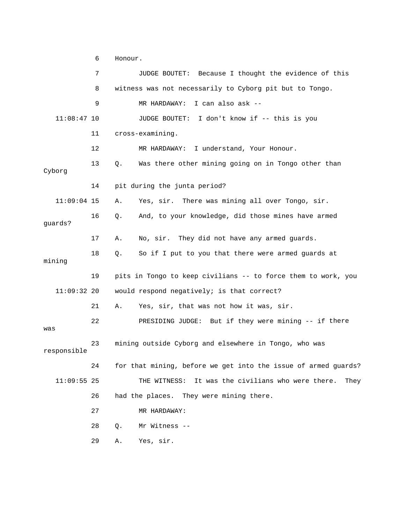6 Honour.

 7 JUDGE BOUTET: Because I thought the evidence of this 8 witness was not necessarily to Cyborg pit but to Tongo. 9 MR HARDAWAY: I can also ask -- 11:08:47 10 JUDGE BOUTET: I don't know if -- this is you 11 cross-examining. 13 Q. Was there other mining going on in Tongo other than . 11:09:04 15 A. Yes, sir. There was mining all over Tongo, sir 16 Q. And, to your knowledge, did those mines have armed guards? 18 Q. So if I put to you that there were armed guards at 19 pits in Tongo to keep civilians -- to force them to work, you 11:09:32 20 would respond negatively; is that correct? 22 PRESIDING JUDGE: But if they were mining -- if there 23 mining outside Cyborg and elsewhere in Tongo, who was responsible 24 for that mining, before we get into the issue of armed guards? 11:09:55 25 THE WITNESS: It was the civilians who were there. They 27 MR HARDAWAY: 29 A. Yes, sir. 12 MR HARDAWAY: I understand, Your Honour. Cyborg 14 pit during the junta period? 17 A. No, sir. They did not have any armed guards. mining 21 A. Yes, sir, that was not how it was, sir. was 26 had the places. They were mining there. 28 Q. Mr Witness --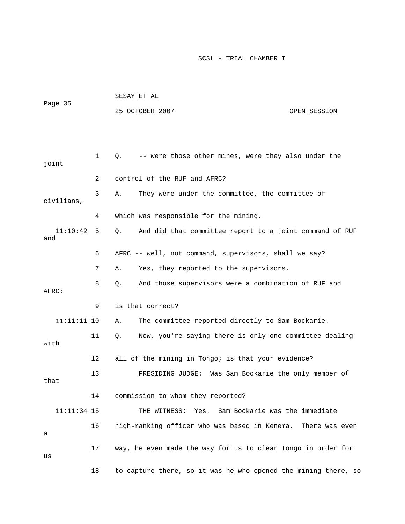| Page 35         |    | SESAY ET AL                                                     |  |  |  |  |
|-----------------|----|-----------------------------------------------------------------|--|--|--|--|
|                 |    | 25 OCTOBER 2007<br>OPEN SESSION                                 |  |  |  |  |
|                 |    |                                                                 |  |  |  |  |
|                 |    |                                                                 |  |  |  |  |
| joint           | 1  | -- were those other mines, were they also under the<br>$Q$ .    |  |  |  |  |
|                 | 2  | control of the RUF and AFRC?                                    |  |  |  |  |
| civilians,      | 3  | They were under the committee, the committee of<br>Α.           |  |  |  |  |
|                 | 4  | which was responsible for the mining.                           |  |  |  |  |
| 11:10:42<br>and | 5  | And did that committee report to a joint command of RUF<br>Q.   |  |  |  |  |
|                 | 6  | AFRC -- well, not command, supervisors, shall we say?           |  |  |  |  |
|                 | 7  | Yes, they reported to the supervisors.<br>Α.                    |  |  |  |  |
| AFRC;           | 8  | And those supervisors were a combination of RUF and<br>Q.       |  |  |  |  |
|                 | 9  | is that correct?                                                |  |  |  |  |
| $11:11:11$ 10   |    | The committee reported directly to Sam Bockarie.<br>Α.          |  |  |  |  |
| with            | 11 | Now, you're saying there is only one committee dealing<br>Q.    |  |  |  |  |
|                 | 12 | all of the mining in Tongo; is that your evidence?              |  |  |  |  |
| that            | 13 | Was Sam Bockarie the only member of<br>PRESIDING JUDGE:         |  |  |  |  |
|                 | 14 | commission to whom they reported?                               |  |  |  |  |
| $11:11:34$ 15   |    | Sam Bockarie was the immediate<br>THE WITNESS:<br>Yes.          |  |  |  |  |
| а               | 16 | high-ranking officer who was based in Kenema.<br>There was even |  |  |  |  |
| us              | 17 | way, he even made the way for us to clear Tongo in order for    |  |  |  |  |
|                 | 18 | to capture there, so it was he who opened the mining there, so  |  |  |  |  |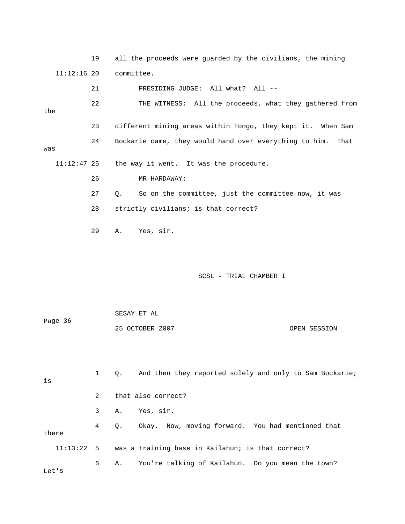19 all the proceeds were guarded by the civilians, the minin g 11:12:16 20 committee.

 21 PRESIDING JUDGE: All what? All -- 11:12:47 25 the way it went. It was the procedure. 26 MR HARDAWAY: 27 Q. So on the committee, just the committee now, it was 29 A. Yes, sir. 22 THE WITNESS: All the proceeds, what they gathered from the 23 different mining areas within Tongo, they kept it. When Sam 24 Bockarie came, they would hand over everything to him. That was 28 strictly civilians; is that correct?

SCSL - TRIAL CHAMBER I

Page 36 25 OCTOBER 2007 OPEN SESSION SESAY ET AL

 1 Q. And then they reported solely and only to Sam Bockarie; 4 Q. Okay. Now, moving forward. You had mentioned that there is 2 that also correct? 3 A. Yes, sir. 11:13:22 5 was a training base in Kailahun; is that correct? 6 A. You're talking of Kailahun. Do you mean the town?

Let's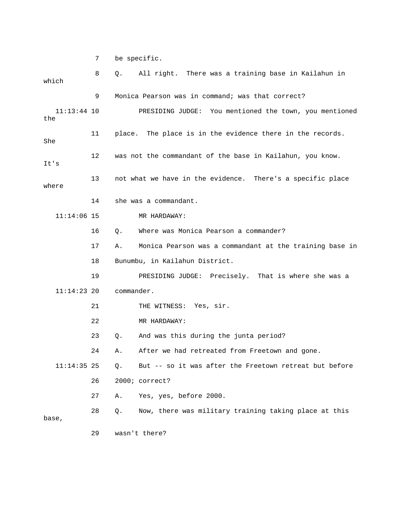7 be specific.

| which                | 8  | All right. There was a training base in Kailahun in<br>Q.     |
|----------------------|----|---------------------------------------------------------------|
|                      | 9  | Monica Pearson was in command; was that correct?              |
| $11:13:44$ 10<br>the |    | PRESIDING JUDGE: You mentioned the town, you mentioned        |
| She                  | 11 | place. The place is in the evidence there in the records.     |
| It's                 | 12 | was not the commandant of the base in Kailahun, you know.     |
| where                | 13 | not what we have in the evidence. There's a specific place    |
|                      | 14 | she was a commandant.                                         |
| $11:14:06$ 15        |    | MR HARDAWAY:                                                  |
|                      | 16 | Where was Monica Pearson a commander?<br>Q.                   |
|                      | 17 | Monica Pearson was a commandant at the training base in<br>Α. |
|                      | 18 | Bunumbu, in Kailahun District.                                |
|                      | 19 | PRESIDING JUDGE: Precisely. That is where she was a           |
| $11:14:23$ 20        |    | commander.                                                    |
|                      | 21 | THE WITNESS: Yes, sir.                                        |
|                      | 22 | MR HARDAWAY:                                                  |
|                      | 23 | And was this during the junta period?<br>Q.                   |
|                      | 24 | After we had retreated from Freetown and gone.<br>Α.          |
| $11:14:35$ 25        |    | But -- so it was after the Freetown retreat but before<br>Q.  |
|                      | 26 | 2000; correct?                                                |
|                      | 27 | Yes, yes, before 2000.<br>Α.                                  |
| base,                | 28 | Now, there was military training taking place at this<br>Q.   |
|                      | 29 | wasn't there?                                                 |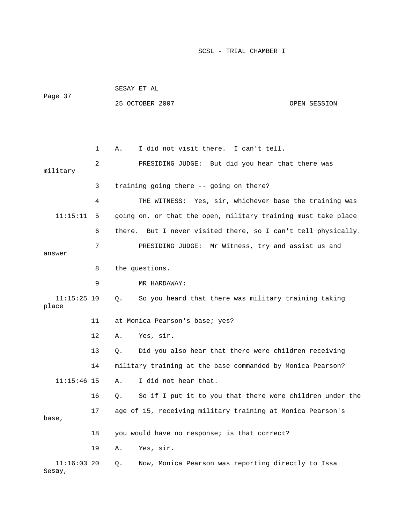SESAY ET AL 25 OCTOBER 2007 OPEN SESSION 1 A. I did not visit there. I can't tell. 2 PRESIDING JUDGE: But did you hear that there was 3 training going there -- going on there? 4 THE WITNESS: Yes, sir, whichever base the training was 11:15:11 5 going on, or that the open, military training must take place 6 there. But I never visited there, so I can't tell physically. 7 PRESIDING JUDGE: Mr Witness, try and assist us and 8 the questions. 11:15:25 10 Q. So you heard that there was military training taking 13 Q. Did you also hear that there were children receiving 14 military training at the base commanded by Monica Pearson? 11:15:46 15 A. I did not hear that. 16 Q. So if I put it to you that there were children under the 17 age of 15, receiving military training at Monica Pearson's 18 you would have no response; is that correct? Sesay, Page 37 military answer 9 MR HARDAWAY: place 11 at Monica Pearson's base; yes? 12 A. Yes, sir. base, 19 A. Yes, sir. 11:16:03 20 Q. Now, Monica Pearson was reporting directly to Issa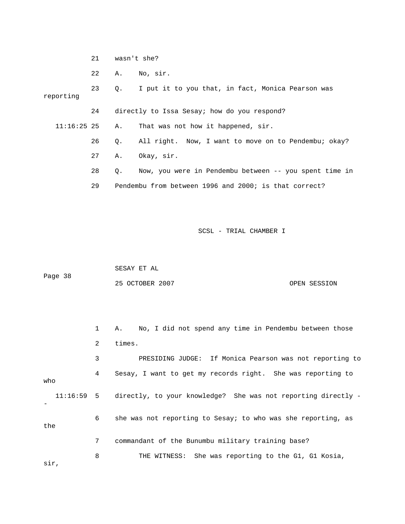21 wasn't she?

22 A. No, sir.

 23 Q. I put it to you that, in fact, Monica Pearson was reporting 24 directly to Issa Sesay; how do you respond? 26 Q. All right. Now, I want to move on to Pendembu; okay? 27 A. Okay, sir. 28 Q. Now, you were in Pendembu between -- you spent time in 11:16:25 25 A. That was not how it happened, sir. 29 Pendembu from between 1996 and 2000; is that correct?

SCSL - TRIAL CHAMBER I

 SESAY ET AL Page 38 25 OCTOBER 2007 OPEN SESSION

 1 A. No, I did not spend any time in Pendembu between those 2 times. 3 PRESIDING JUDGE: If Monica Pearson was not reporting to 11:16:59 5 directly, to your knowledge? She was not reporting directly - 6 she was not reporting to Sesay; to who was she reporting, as the 8 THE WITNESS: She was reporting to the G1, G1 Kosia, 4 Sesay, I want to get my records right. She was reporting to who - 7 commandant of the Bunumbu military training base?

sir,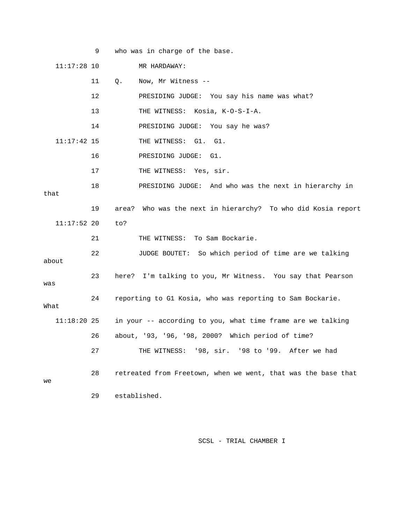|               | 9  | who was in charge of the base.                                |
|---------------|----|---------------------------------------------------------------|
| $11:17:28$ 10 |    | MR HARDAWAY:                                                  |
|               | 11 | Now, Mr Witness --<br>Q.                                      |
|               | 12 | PRESIDING JUDGE: You say his name was what?                   |
|               | 13 | THE WITNESS: Kosia, K-O-S-I-A.                                |
|               | 14 | PRESIDING JUDGE: You say he was?                              |
| $11:17:42$ 15 |    | THE WITNESS: G1. G1.                                          |
|               | 16 | PRESIDING JUDGE:<br>G1.                                       |
|               | 17 | THE WITNESS: Yes, sir.                                        |
| that          | 18 | PRESIDING JUDGE: And who was the next in hierarchy in         |
|               | 19 | area? Who was the next in hierarchy? To who did Kosia report  |
| $11:17:52$ 20 |    | to?                                                           |
|               | 21 | THE WITNESS: To Sam Bockarie.                                 |
| about         | 22 | JUDGE BOUTET: So which period of time are we talking          |
| was           | 23 | here? I'm talking to you, Mr Witness. You say that Pearson    |
| What          | 24 | reporting to G1 Kosia, who was reporting to Sam Bockarie.     |
| 11:18:20 25   |    | in your -- according to you, what time frame are we talking   |
|               | 26 | about, '93, '96, '98, 2000? Which period of time?             |
|               | 27 | THE WITNESS: '98, sir. '98 to '99. After we had               |
| we            | 28 | retreated from Freetown, when we went, that was the base that |
|               | 29 | established.                                                  |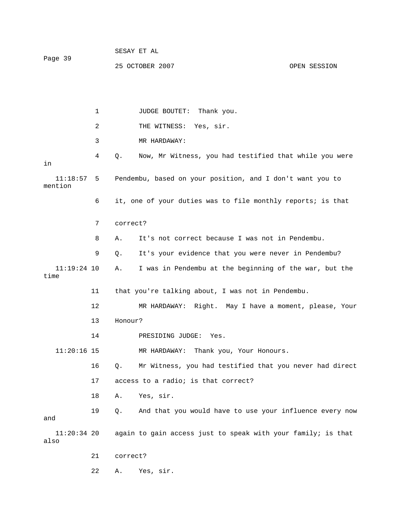1 JUDGE BOUTET: Thank you. 2 THE WITNESS: Yes, sir. 3 MR HARDAWAY: 11:18:57 5 Pendembu, based on your position, and I don't want you to ntion 6 it, one of your duties was to file monthly reports; is that 7 correct? 8 A. It's not correct because I was not in Pendembu. 9 Q. It's your evidence that you were never in Pendembu? A. I was in Pendembu at the beginning of the war, but the time 11 that you're talking about, I was not in Pendembu. 13 Honour? 14 PRESIDING JUDGE: Yes. 16 Q. Mr Witness, you had testified that you never had direct 17 access to a radio; is that correct? 11:20:34 20 again to gain access just to speak with your family; is that 4 Q. Now, Mr Witness, you had testified that while you were in me  $11:19:24$  10 12 MR HARDAWAY: Right. May I have a moment, please, Your 11:20:16 15 MR HARDAWAY: Thank you, Your Honours. 18 A. Yes, sir. 19 Q. And that you would have to use your influence every now and also 21 correct? 22 A. Yes, sir.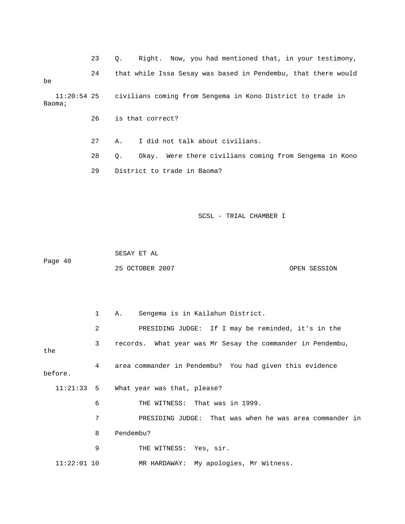23 Q. Right. Now, you had mentioned that, in your testimony,

24 that while Issa Sesay was based in Pendembu, that there would civilians coming from Sengema in Kono District to trade in be  $11:20:54$  25

Baoma;

26 is that correct?

27 A. I did not talk about civilians.

 28 Q. Okay. Were there civilians coming from Sengema in Kono 29 District to trade in Baoma?

SCSL - TRIAL CHAMBER I

 SESAY ET AL Page 40

25 OCTOBER 2007 OPEN SESSION

 1 A. Sengema is in Kailahun District. 2 PRESIDING JUDGE: If I may be reminded, it's in the 3 records. What year was Mr Sesay the commander in Pendembu, the 11:21:33 5 What year was that, please? 6 THE WITNESS: That was in 1999. 7 PRESIDING JUDGE: That was when he was area commander in 8 Pendembu? 4 area commander in Pendembu? You had given this evidence before. 9 THE WITNESS: Yes, sir. 11:22:01 10 MR HARDAWAY: My apologies, Mr Witness.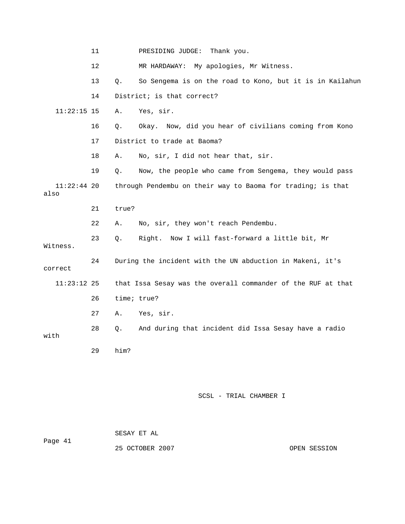|                       | 11      |             | PRESIDING JUDGE:<br>Thank you.                               |
|-----------------------|---------|-------------|--------------------------------------------------------------|
|                       | $12 \,$ |             | My apologies, Mr Witness.<br>MR HARDAWAY:                    |
|                       | 13      | Q.          | So Sengema is on the road to Kono, but it is in Kailahun     |
|                       | 14      |             | District; is that correct?                                   |
| $11:22:15$ 15         |         | Α.          | Yes, sir.                                                    |
|                       | 16      | Q.          | Okay. Now, did you hear of civilians coming from Kono        |
|                       | 17      |             | District to trade at Baoma?                                  |
|                       | 18      | Α.          | No, sir, I did not hear that, sir.                           |
|                       | 19      | Q.          | Now, the people who came from Sengema, they would pass       |
| $11:22:44$ 20<br>also |         |             | through Pendembu on their way to Baoma for trading; is that  |
|                       | 21      | true?       |                                                              |
|                       | 22      | Α.          | No, sir, they won't reach Pendembu.                          |
| Witness.              | 23      | Q.          | Right. Now I will fast-forward a little bit, Mr              |
| correct               | 24      |             | During the incident with the UN abduction in Makeni, it's    |
| 11:23:12 25           |         |             | that Issa Sesay was the overall commander of the RUF at that |
|                       | 26      | time; true? |                                                              |
|                       | 27      | Α.          | Yes, sir.                                                    |
| with                  | 28      | Q.          | And during that incident did Issa Sesay have a radio         |
|                       | 29      | him?        |                                                              |

|         | SESAY ET AL     |              |
|---------|-----------------|--------------|
| Page 41 |                 |              |
|         | 25 OCTOBER 2007 | OPEN SESSION |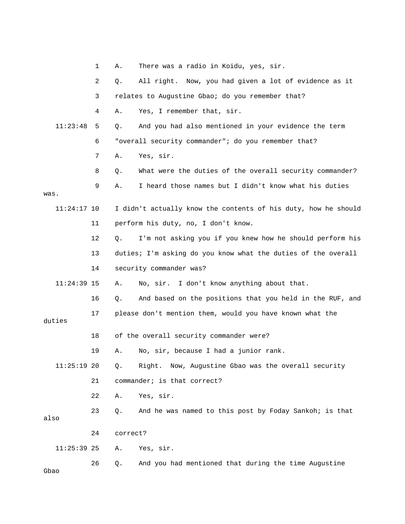|               | 1  | Α.       | There was a radio in Koidu, yes, sir.                          |
|---------------|----|----------|----------------------------------------------------------------|
|               | 2  | Q.       | All right. Now, you had given a lot of evidence as it          |
|               | 3  |          | relates to Augustine Gbao; do you remember that?               |
|               | 4  | Α.       | Yes, I remember that, sir.                                     |
| 11:23:48      | 5  | Q.       | And you had also mentioned in your evidence the term           |
|               | 6  |          | "overall security commander"; do you remember that?            |
|               | 7  | Α.       | Yes, sir.                                                      |
|               | 8  | Q.       | What were the duties of the overall security commander?        |
|               | 9  | Α.       | I heard those names but I didn't know what his duties          |
| was.          |    |          |                                                                |
| $11:24:17$ 10 |    |          | I didn't actually know the contents of his duty, how he should |
|               | 11 |          | perform his duty, no, I don't know.                            |
|               | 12 | Q.       | I'm not asking you if you knew how he should perform his       |
|               | 13 |          | duties; I'm asking do you know what the duties of the overall  |
|               | 14 |          | security commander was?                                        |
| $11:24:39$ 15 |    | Α.       | No, sir. I don't know anything about that.                     |
|               | 16 | Q.       | And based on the positions that you held in the RUF, and       |
| duties        | 17 |          | please don't mention them, would you have known what the       |
|               | 18 |          | of the overall security commander were?                        |
|               | 19 | Α.       | No, sir, because I had a junior rank.                          |
| $11:25:19$ 20 |    | Q.       | Right. Now, Augustine Gbao was the overall security            |
|               | 21 |          | commander; is that correct?                                    |
|               | 22 | Α.       | Yes, sir.                                                      |
| also          | 23 | Q.       | And he was named to this post by Foday Sankoh; is that         |
|               | 24 | correct? |                                                                |
| $11:25:39$ 25 |    | Α.       | Yes, sir.                                                      |
| Gbao          | 26 | Q.       | And you had mentioned that during the time Augustine           |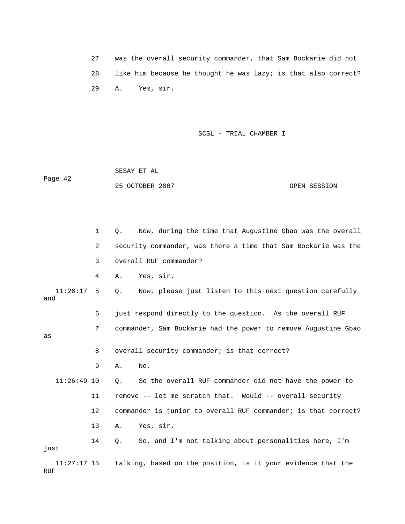27 was the overall security commander, that Sam Bockarie did not 28 like him because he thought he was lazy; is that also correct? 29 A. Yes, sir.

SCSL - TRIAL CHAMBER I

25 OCTOBER 2007 CPEN SESSION SESAY ET AL Page 42

|                      | 1  | Now, during the time that Augustine Gbao was the overall<br>О. |
|----------------------|----|----------------------------------------------------------------|
|                      | 2  | security commander, was there a time that Sam Bockarie was the |
|                      | 3  | overall RUF commander?                                         |
|                      | 4  | Yes, sir.<br>Α.                                                |
| 11:26:17<br>and      | 5  | Now, please just listen to this next question carefully<br>Q.  |
|                      | 6  | just respond directly to the question. As the overall RUF      |
| as                   | 7  | commander, Sam Bockarie had the power to remove Augustine Gbao |
|                      | 8  | overall security commander; is that correct?                   |
|                      | 9  | No.<br>Α.                                                      |
| $11:26:49$ 10        |    | So the overall RUF commander did not have the power to<br>Q.   |
|                      | 11 | remove -- let me scratch that. Would -- overall security       |
|                      | 12 | commander is junior to overall RUF commander; is that correct? |
|                      | 13 | Yes, sir.<br>Α.                                                |
| just                 | 14 | So, and I'm not talking about personalities here, I'm<br>Q.    |
| $11:27:17$ 15<br>RUF |    | talking, based on the position, is it your evidence that the   |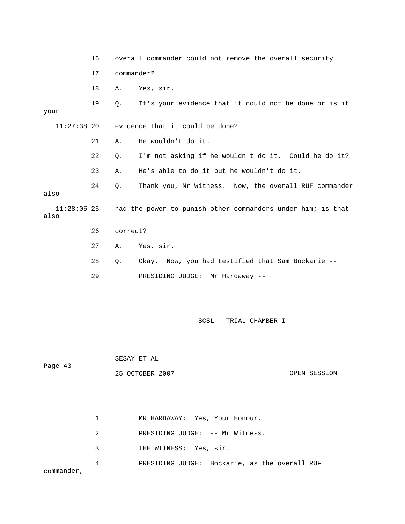16 overall commander could not remove the overall security your 21 A. He wouldn't do it. 24 Q. Thank you, Mr Witness. Now, the overall RUF commander  $11:28:05$  25 had the power to punish other commanders under him; is that 26 correct? 28 Q. Okay. Now, you had testified that Sam Bockarie -- 17 commander? 18 A. Yes, sir. 19 Q. It's your evidence that it could not be done or is it 11:27:38 20 evidence that it could be done? 22 Q. I'm not asking if he wouldn't do it. Could he do it? 23 A. He's able to do it but he wouldn't do it. also also 27 A. Yes, sir. 29 PRESIDING JUDGE: Mr Hardaway --

SCSL - TRIAL CHAMBER I

Page 43

SESAY ET AL

| 25 OCTOBER 2007 |  | OPEN SESSION |
|-----------------|--|--------------|
|                 |  |              |

|            |                                   | MR HARDAWAY: Yes, Your Honour.                |
|------------|-----------------------------------|-----------------------------------------------|
|            | $2 \left( \frac{1}{2} \right)$    | PRESIDING JUDGE: -- Mr Witness.               |
|            | $\overline{3}$ and $\overline{3}$ | THE WITNESS: Yes, sir.                        |
| commander, | 4                                 | PRESIDING JUDGE: Bockarie, as the overall RUF |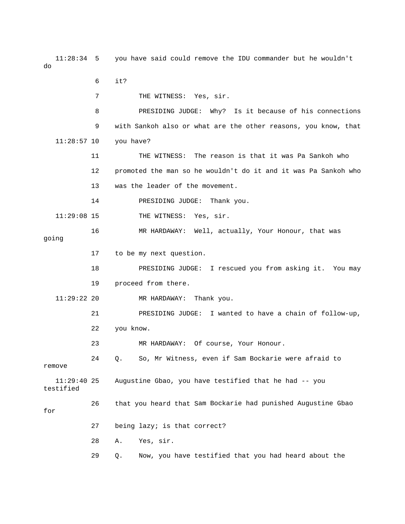11:28:34 5 you have said could remove the IDU commander but he would n't do

6 it?

7 THE WITNESS: Yes, sir.

8 PRESIDING JUDGE: Why? Is it because of his connections 9 with Sankoh also or what are the other reasons, you know, that 11:28:57 10 you have?

11 THE WITNESS: The reason is that it was Pa Sankoh who 12 promoted the man so he wouldn't do it and it was Pa Sankoh who 13 was the leader of the movement.

 PRESIDING JUDGE: Thank you. 14

11:29:08 15 THE WITNESS: Yes, sir.

 16 MR HARDAWAY: Well, actually, Your Honour, that was going

17 to be my next question.

 18 PRESIDING JUDGE: I rescued you from asking it. You may 19 proceed from there.

11:29:22 20 MR HARDAWAY: Thank you.

21 PRESIDING JUDGE: I wanted to have a chain of follow-up,

22 you know.

23 MR HARDAWAY: Of course, Your Honour.

 24 Q. So, Mr Witness, even if Sam Bockarie were afraid to remove

11:29:40 25 Augustine Gbao, you have testified that he had -- you

26 that you heard that Sam Bockarie had punished Augustine Gbao for

testified

- 27 being lazy; is that correct?
	- 28 A. Yes, sir.

29 Q. Now, you have testified that you had heard about the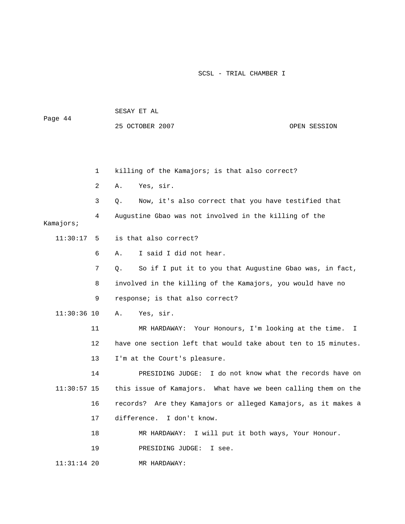| Page 44       |    | SESAY ET AL                                                    |              |  |  |
|---------------|----|----------------------------------------------------------------|--------------|--|--|
|               |    | 25 OCTOBER 2007                                                | OPEN SESSION |  |  |
|               |    |                                                                |              |  |  |
|               |    |                                                                |              |  |  |
|               | 1  | killing of the Kamajors; is that also correct?                 |              |  |  |
|               | 2  | Yes, sir.<br>Α.                                                |              |  |  |
|               | 3  | Now, it's also correct that you have testified that<br>Q.      |              |  |  |
| Kamajors;     | 4  | Augustine Gbao was not involved in the killing of the          |              |  |  |
| 11:30:17      | 5  | is that also correct?                                          |              |  |  |
|               | 6  | I said I did not hear.<br>Α.                                   |              |  |  |
|               | 7  | So if I put it to you that Augustine Gbao was, in fact,<br>Q.  |              |  |  |
|               | 8  | involved in the killing of the Kamajors, you would have no     |              |  |  |
|               | 9  | response; is that also correct?                                |              |  |  |
| $11:30:36$ 10 |    | Yes, sir.<br>Α.                                                |              |  |  |
|               | 11 | MR HARDAWAY: Your Honours, I'm looking at the time.            | I.           |  |  |
|               | 12 | have one section left that would take about ten to 15 minutes. |              |  |  |
|               | 13 | I'm at the Court's pleasure.                                   |              |  |  |
|               | 14 | I do not know what the records have on<br>PRESIDING JUDGE:     |              |  |  |
| $11:30:57$ 15 |    | this issue of Kamajors. What have we been calling them on the  |              |  |  |
|               | 16 | records? Are they Kamajors or alleged Kamajors, as it makes a  |              |  |  |
|               | 17 | difference. I don't know.                                      |              |  |  |
|               | 18 | MR HARDAWAY: I will put it both ways, Your Honour.             |              |  |  |
|               | 19 | PRESIDING JUDGE:<br>I see.                                     |              |  |  |
| $11:31:14$ 20 |    | MR HARDAWAY:                                                   |              |  |  |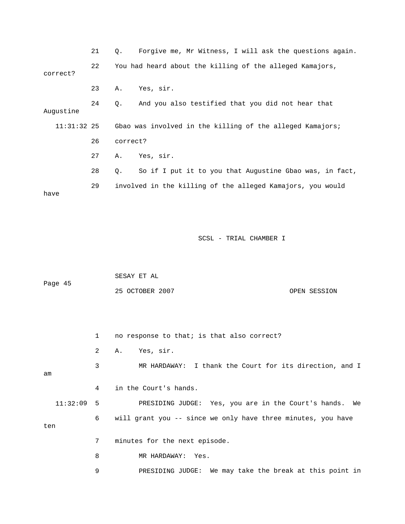21 Q. Forgive me, Mr Witness, I will ask the questions again. 23 A. Yes, sir. 24 Q. And you also testified that you did not hear that 22 You had heard about the killing of the alleged Kamajors, correct? Augustine 11:31:32 25 Gbao was involved in the killing of the alleged Kamajors; 26 correct? 27 A. Yes, sir. 28 Q. So if I put it to you that Augustine Gbao was, in fact, 29 involved in the killing of the alleged Kamajors, you would have

SCSL - TRIAL CHAMBER I

|         | SESAY ET AL     |              |
|---------|-----------------|--------------|
| Page 45 |                 |              |
|         | 25 OCTOBER 2007 | OPEN SESSION |

 1 no response to that; is that also correct? 2 A. Yes, sir. 3 MR HARDAWAY: I thank the Court for its direction, and I 4 in the Court's hands. PRESIDING JUDGE: Yes, you are in the Court's hands. We 6 will grant you -- since we only have three minutes, you have ten 7 minutes for the next episode. am 11:32:09 5 8 MR HARDAWAY: Yes.

9 PRESIDING JUDGE: We may take the break at this point in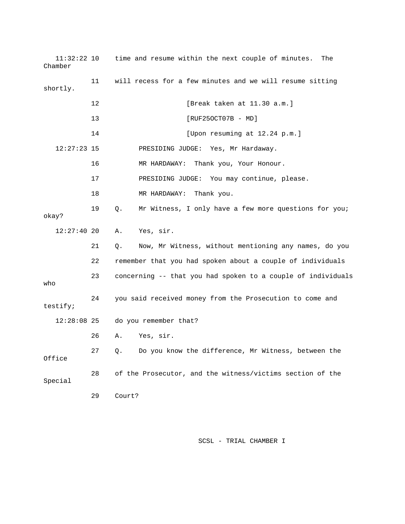| $11:32:22$ 10<br>Chamber |    | time and resume within the next couple of minutes.<br>The    |
|--------------------------|----|--------------------------------------------------------------|
| shortly.                 | 11 | will recess for a few minutes and we will resume sitting     |
|                          | 12 | [Break taken at 11.30 a.m.]                                  |
|                          | 13 | $[RUF250CT07B - MD]$                                         |
|                          | 14 | [Upon resuming at 12.24 p.m.]                                |
| $12:27:23$ 15            |    | PRESIDING JUDGE: Yes, Mr Hardaway.                           |
|                          | 16 | MR HARDAWAY:<br>Thank you, Your Honour.                      |
|                          | 17 | PRESIDING JUDGE: You may continue, please.                   |
|                          | 18 | MR HARDAWAY:<br>Thank you.                                   |
| okay?                    | 19 | Mr Witness, I only have a few more questions for you;<br>Q.  |
| $12:27:40$ 20            |    | Α.<br>Yes, sir.                                              |
|                          | 21 | Now, Mr Witness, without mentioning any names, do you<br>Q.  |
|                          | 22 | remember that you had spoken about a couple of individuals   |
| who                      | 23 | concerning -- that you had spoken to a couple of individuals |
| testify;                 | 24 | you said received money from the Prosecution to come and     |
| $12:28:08$ 25            |    | do you remember that?                                        |
|                          | 26 | Yes, sir.<br>Α.                                              |
| Office                   | 27 | Do you know the difference, Mr Witness, between the<br>Q.    |
| Special                  | 28 | of the Prosecutor, and the witness/victims section of the    |
|                          | 29 | Court?                                                       |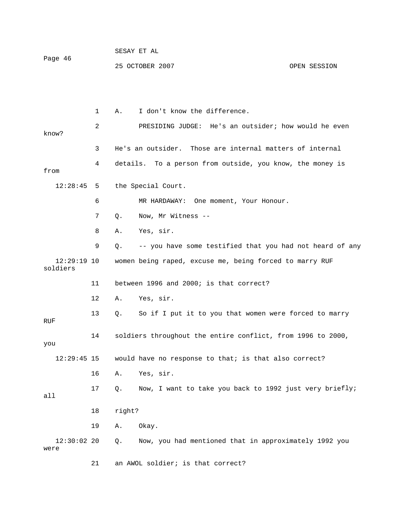1 A. I don't know the difference. 2 PRESIDING JUDGE: He's an outsider; how would he even know? 3 He's an outsider. Those are internal matters of internal 4 details. To a person from outside, you know, the money is the Special Court. 6 MR HARDAWAY: One moment, Your Honour. 7 Q. Now, Mr Witness -- 8 A. Yes, sir. 9 Q. -- you have some testified that you had not heard of any ldiers so 12 A. Yes, sir. 13 Q. So if I put it to you that women were forced to marry RUF 14 soldiers throughout the entire conflict, from 1996 to 2000,  $12:29:45$  15 would have no response to that; is that also correct? 17 Q. Now, I want to take you back to 1992 just very briefly; from  $12:28:45$  5 12:29:19 10 women being raped, excuse me, being forced to marry RUF 11 between 1996 and 2000; is that correct? you 16 A. Yes, sir. all 18 right? 19 A. Okay. 12:30:02 20 Q. Now, you had mentioned that in approximately 1992 you were 21 an AWOL soldier; is that correct?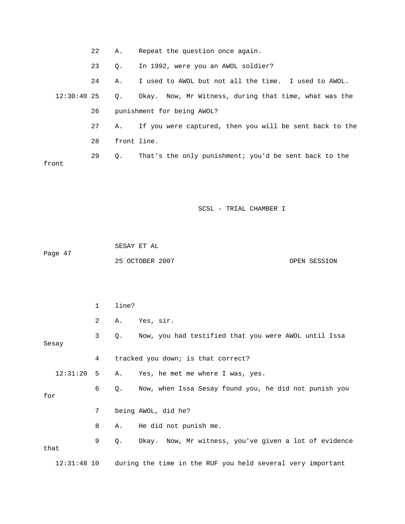| 22            | Α.          | Repeat the question once again.                          |
|---------------|-------------|----------------------------------------------------------|
| 23            | $\circ$ .   | In 1992, were you an AWOL soldier?                       |
| 24            | Α.          | I used to AWOL but not all the time. I used to AWOL.     |
| $12:30:40$ 25 |             | Q. Okay. Now, Mr Witness, during that time, what was the |
| 26            |             | punishment for being AWOL?                               |
| 27            | A.,         | If you were captured, then you will be sent back to the  |
| 28            | front line. |                                                          |
| 29            | О.          | That's the only punishment; you'd be sent back to the    |
|               |             |                                                          |
|               |             |                                                          |

|         | SESAY ET AL     |              |
|---------|-----------------|--------------|
| Page 47 |                 |              |
|         | 25 OCTOBER 2007 | OPEN SESSION |

|      |               | $\mathbf{1}$ | line? |                                                            |
|------|---------------|--------------|-------|------------------------------------------------------------|
|      |               | 2            | Α.    | Yes, sir.                                                  |
|      | Sesay         | $\mathbf{3}$ | Q.    | Now, you had testified that you were AWOL until Issa       |
|      |               | 4            |       | tracked you down; is that correct?                         |
|      | 12:31:20      | 5            | Α.    | Yes, he met me where I was, yes.                           |
| for  |               | 6            | Q.    | Now, when Issa Sesay found you, he did not punish you      |
|      |               | 7            |       | being AWOL, did he?                                        |
|      |               | 8            | Α.    | He did not punish me.                                      |
| that |               | 9            | Q.    | Okay. Now, Mr witness, you've given a lot of evidence      |
|      | $12:31:48$ 10 |              |       | during the time in the RUF you held several very important |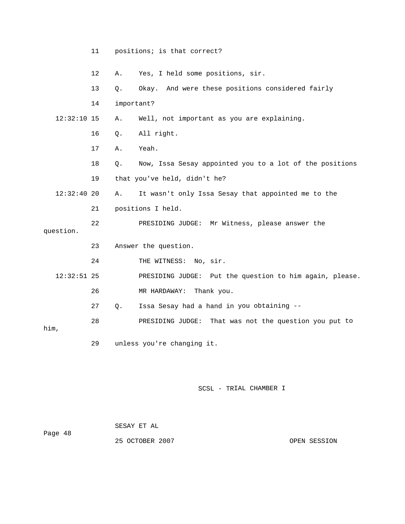|               | 11 |            | positions; is that correct?                                |
|---------------|----|------------|------------------------------------------------------------|
|               | 12 | Α.         | Yes, I held some positions, sir.                           |
|               | 13 | Q.         | Okay. And were these positions considered fairly           |
|               | 14 | important? |                                                            |
| $12:32:10$ 15 |    | Α.         | Well, not important as you are explaining.                 |
|               | 16 | $Q$ .      | All right.                                                 |
|               | 17 | Α.         | Yeah.                                                      |
|               | 18 | О.         | Now, Issa Sesay appointed you to a lot of the positions    |
|               | 19 |            | that you've held, didn't he?                               |
| $12:32:40$ 20 |    | Α.         | It wasn't only Issa Sesay that appointed me to the         |
|               | 21 |            | positions I held.                                          |
|               | 22 |            | PRESIDING JUDGE: Mr Witness, please answer the             |
| question.     |    |            |                                                            |
|               | 23 |            | Answer the question.                                       |
|               | 24 |            | THE WITNESS: No, sir.                                      |
| $12:32:51$ 25 |    |            | PRESIDING JUDGE:<br>Put the question to him again, please. |
|               | 26 |            | Thank you.<br>MR HARDAWAY:                                 |
|               | 27 | Q.         | Issa Sesay had a hand in you obtaining --                  |
| him,          | 28 |            | PRESIDING JUDGE:<br>That was not the question you put to   |
|               | 29 |            | unless you're changing it.                                 |

| Page 48 | SESAY ET AL     |              |
|---------|-----------------|--------------|
|         | 25 OCTOBER 2007 | OPEN SESSION |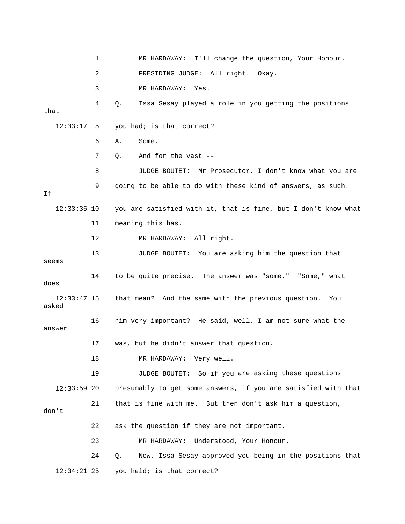1 MR HARDAWAY: I'll change the question, Your Honour. 2 PRESIDING JUDGE: All right. Okay. 4 Q. Issa Sesay played a role in you getting the positions that 7 Q. And for the vast -- 8 JUDGE BOUTET: Mr Prosecutor, I don't know what you are 12:33:35 10 you are satisfied with it, that is fine, but I don't know what 11 meaning this has. 12 MR HARDAWAY: All right. 13 JUDGE BOUTET: You are asking him the question that 14 to be quite precise. The answer was "some." "Some," what 16 him very important? He said, well, I am not sure what the answer 17 was, but he didn't answer that question. 18 MR HARDAWAY: Very well. 19 JUDGE BOUTET: So if you are asking these questions presumably to get some answers, if you are satisfied with that 23 MR HARDAWAY: Understood, Your Honour. 24 Q. Now, Issa Sesay approved you being in the positions that 3 MR HARDAWAY: Yes. 12:33:17 5 you had; is that correct? 6 A. Some. 9 going to be able to do with these kind of answers, as such. If seems does 12:33:47 15 that mean? And the same with the previous question. You asked 12:33:59 20 21 that is fine with me. But then don't ask him a question, don't 22 ask the question if they are not important. 12:34:21 25 you held; is that correct?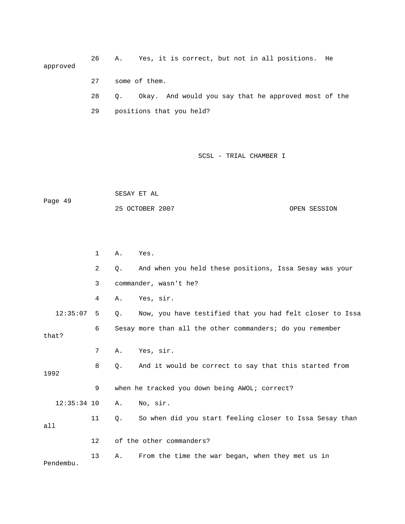26 A. Yes, it is correct, but not in all positions. He approved 28 Q. Okay. And would you say that he approved most of the 29 positions that you held? 27 some of them.

|         | SESAY ET AL     |              |
|---------|-----------------|--------------|
| Page 49 |                 |              |
|         | 25 OCTOBER 2007 | OPEN SESSION |

|               | 1       | Α. | Yes.                                                      |
|---------------|---------|----|-----------------------------------------------------------|
|               | 2       | Q. | And when you held these positions, Issa Sesay was your    |
|               | 3       |    | commander, wasn't he?                                     |
|               | 4       | Α. | Yes, sir.                                                 |
| 12:35:07      | 5       | Q. | Now, you have testified that you had felt closer to Issa  |
| that?         | 6       |    | Sesay more than all the other commanders; do you remember |
|               | 7       | Α. | Yes, sir.                                                 |
| 1992          | 8       | Q. | And it would be correct to say that this started from     |
|               | 9       |    | when he tracked you down being AWOL; correct?             |
| $12:35:34$ 10 |         | Α. | No, sir.                                                  |
| a11           | 11      | Q. | So when did you start feeling closer to Issa Sesay than   |
|               | $12 \,$ |    | of the other commanders?                                  |
| Pendembu.     | 13      | Α. | From the time the war began, when they met us in          |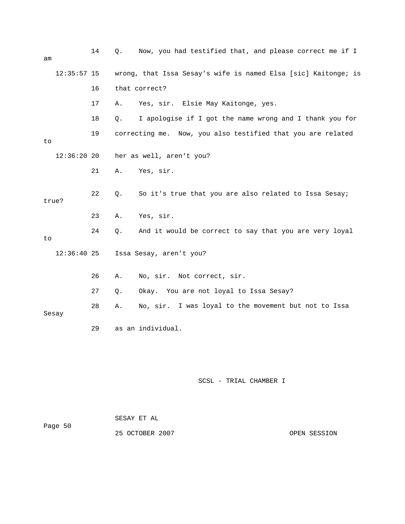| am |               | 14 | Q. | Now, you had testified that, and please correct me if I        |
|----|---------------|----|----|----------------------------------------------------------------|
|    | $12:35:57$ 15 |    |    | wrong, that Issa Sesay's wife is named Elsa [sic] Kaitonge; is |
|    |               | 16 |    | that correct?                                                  |
|    |               | 17 | Α. | Yes, sir. Elsie May Kaitonge, yes.                             |
|    |               | 18 | Q. | I apologise if I got the name wrong and I thank you for        |
| to |               | 19 |    | correcting me. Now, you also testified that you are related    |
|    | $12:36:20$ 20 |    |    | her as well, aren't you?                                       |
|    |               | 21 | Α. | Yes, sir.                                                      |
|    | true?         | 22 | Q. | So it's true that you are also related to Issa Sesay;          |
|    |               | 23 | Α. | Yes, sir.                                                      |
| to |               | 24 | Q. | And it would be correct to say that you are very loyal         |
|    | $12:36:40$ 25 |    |    | Issa Sesay, aren't you?                                        |
|    |               | 26 | Α. | No, sir. Not correct, sir.                                     |
|    |               | 27 | Q. | Okay. You are not loyal to Issa Sesay?                         |
|    | Sesay         | 28 | Α. | No, sir. I was loyal to the movement but not to Issa           |
|    |               | 29 |    | as an individual.                                              |
|    |               |    |    |                                                                |

| Page 50 | SESAY ET AL     |  |              |
|---------|-----------------|--|--------------|
|         | 25 OCTOBER 2007 |  | OPEN SESSION |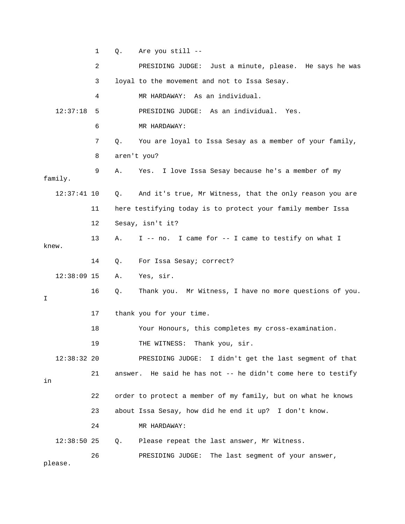1 Q. Are you still -- 2 PRESIDING JUDGE: Just a minute, please. He says he was 4 MR HARDAWAY: As an individual. 12:37:18 5 PRESIDING JUDGE: As an individual. Yes. 7 Q. You are loyal to Issa Sesay as a member of your family, 8 aren't you? 9 A. Yes. I love Issa Sesay because he's a member of my 11 here testifying today is to protect your family member Issa 13 A. I -- no. I came for -- I came to testify on what I knew. 14 Q. For Issa Sesay; correct? 12:38:09 15 A. Yes, sir. 16 Q. Thank you. Mr Witness, I have no more questions of you. 17 thank you for your time. 12:38:32 20 PRESIDING JUDGE: I didn't get the last segment of that 21 answer. He said he has not -- he didn't come here to testify 22 order to protect a member of my family, but on what he knows 23 about Issa Sesay, how did he end it up? I don't know. 12:38:50 25 Q. Please repeat the last answer, Mr Witness. 26 PRESIDING JUDGE: The last segment of your answer, 3 loyal to the movement and not to Issa Sesay. 6 MR HARDAWAY: family. 12:37:41 10 Q. And it's true, Mr Witness, that the only reason you are 12 Sesay, isn't it? I 18 Your Honours, this completes my cross-examination. 19 THE WITNESS: Thank you, sir. in 24 MR HARDAWAY: please.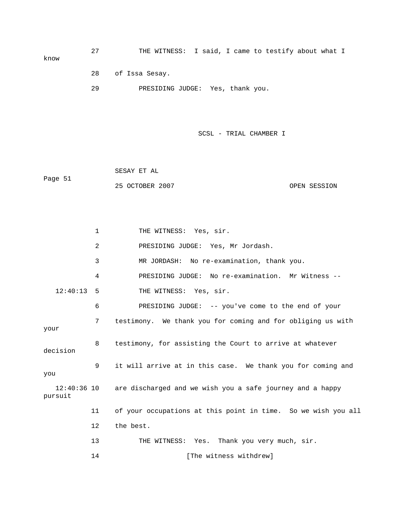27 THE WITNESS: I said, I came to testify about what I 29 PRESIDING JUDGE: Yes, thank you. know 28 of Issa Sesay.

SCSL - TRIAL CHAMBER I

 SESAY ET AL Page 51 25 OCTOBER 2007 OPEN SESSION

1 THE WITNESS: Yes, sir. 2 PRESIDING JUDGE: Yes, Mr Jordash. 3 MR JORDASH: No re-examination, thank you. 4 PRESIDING JUDGE: No re-examination. Mr Witness -- 12:40:13 5 THE WITNESS: Yes, sir. 7 testimony. We thank you for coming and for obliging us with 8 testimony, for assisting the Court to arrive at whatever decision 9 it will arrive at in this case. We thank you for coming and 12:40:36 10 are discharged and we wish you a safe journey and a happy 11 of your occupations at this point in time. So we wish you all 6 PRESIDING JUDGE: -- you've come to the end of your your you pursuit 12 the best. 13 THE WITNESS: Yes. Thank you very much, sir. 14 [The witness withdrew]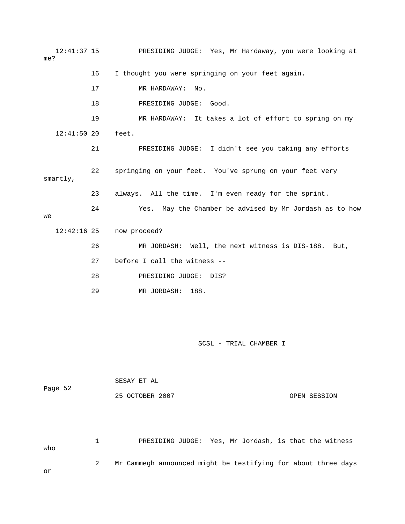12:41:37 15 PRESIDING JUDGE: Yes, Mr Hardaway, you were looking at me? 17 MR HARDAWAY: No. 18 PRESIDING JUDGE: Good. fforts 21 PRESIDING JUDGE: I didn't see you taking any e 23 always. All the time. I'm even ready for the sprint. 24 Yes. May the Chamber be advised by Mr Jordash as to how 27 before I call the witness -- 28 PRESIDING JUDGE: DIS? 29 MR JORDASH: 188. 16 I thought you were springing on your feet again. 19 MR HARDAWAY: It takes a lot of effort to spring on my 12:41:50 20 feet. 22 springing on your feet. You've sprung on your feet very smartly, we 12:42:16 25 now proceed? 26 MR JORDASH: Well, the next witness is DIS-188. But,

SCSL - TRIAL CHAMBER I

|         | SESAY ET AL     |              |
|---------|-----------------|--------------|
| Page 52 |                 |              |
|         | 25 OCTOBER 2007 | OPEN SESSION |

 1 PRESIDING JUDGE: Yes, Mr Jordash, is that the witness o wh 2 Mr Cammegh announced might be testifying for about three days or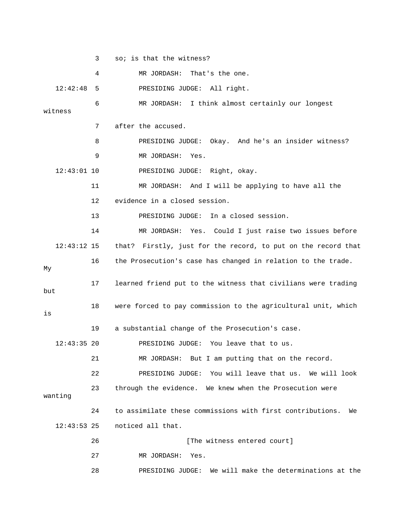3 so; is that the witness?

 4 MR JORDASH: That's the one. witness 7 after the accused. 8 PRESIDING JUDGE: Okay. And he's an insider witness? 9 MR JORDASH: Yes. 11 MR JORDASH: And I will be applying to have all the 12 evidence in a closed session. 13 PRESIDING JUDGE: In a closed session. 14 MR JORDASH: Yes. Could I just raise two issues before that? Firstly, just for the record, to put on the record that 16 the Prosecution's case has changed in relation to the trade. 17 learned friend put to the witness that civilians were trading 18 were forced to pay commission to the agricultural unit, which 12:43:35 20 PRESIDING JUDGE: You leave that to us. 21 MR JORDASH: But I am putting that on the record. 23 through the evidence. We knew when the Prosecution were 24 to assimilate these commissions with first contributions. We noticed all that. 27 MR JORDASH: Yes. 28 PRESIDING JUDGE: We will make the determinations at the 12:42:48 5 PRESIDING JUDGE: All right. 6 MR JORDASH: I think almost certainly our longest 12:43:01 10 PRESIDING JUDGE: Right, okay.  $12:43:12$  15 My but is 19 a substantial change of the Prosecution's case. 22 PRESIDING JUDGE: You will leave that us. We will look wanting  $12:43:53$  25 26 **[The witness entered court]**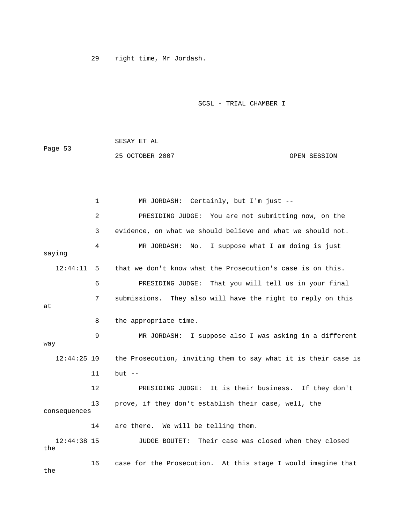29 right time, Mr Jordash.

SCSL - TRIAL CHAMBER I

 SESAY ET AL 25 OCTOBER 2007 OPEN SESSION Page 53

 1 MR JORDASH: Certainly, but I'm just -- 2 PRESIDING JUDGE: You are not submitting now, on the 3 evidence, on what we should believe and what we should not. 4 MR JORDASH: No. I suppose what I am doing is just saying 12:44:11 5 that we don't know what the Prosecution's case is on this. 7 submissions. They also will have the right to reply on this 8 the appropriate time. 9 MR JORDASH: I suppose also I was asking in a different way 12:44:25 10 the Prosecution, inviting them to say what it is their case is 12 PRESIDING JUDGE: It is their business. If they don't consequences 14 are there. We will be telling them. 16 case for the Prosecution. At this stage I would imagine that the 6 PRESIDING JUDGE: That you will tell us in your final at 11 but -- 13 prove, if they don't establish their case, well, the 12:44:38 15 JUDGE BOUTET: Their case was closed when they closed the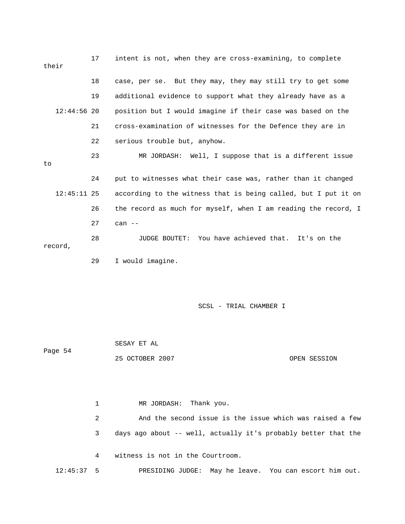|    | their         | 17 | intent is not, when they are cross-examining, to complete      |
|----|---------------|----|----------------------------------------------------------------|
|    |               | 18 | case, per se. But they may, they may still try to get some     |
|    |               | 19 | additional evidence to support what they already have as a     |
|    | $12:44:56$ 20 |    | position but I would imagine if their case was based on the    |
|    |               | 21 | cross-examination of witnesses for the Defence they are in     |
|    |               | 22 | serious trouble but, anyhow.                                   |
| to |               | 23 | MR JORDASH: Well, I suppose that is a different issue          |
|    |               | 24 | put to witnesses what their case was, rather than it changed   |
|    | $12:45:11$ 25 |    | according to the witness that is being called, but I put it on |
|    |               | 26 | the record as much for myself, when I am reading the record, I |
|    |               | 27 | can $--$                                                       |
|    | record,       | 28 | You have achieved that. It's on the<br>JUDGE BOUTET:           |
|    |               | 29 | I would imagine.                                               |

 SESAY ET AL 25 OCTOBER 2007 CPEN SESSION Page 54

1 MR JORDASH: Thank you. 2 And the second issue is the issue which was raised a few 3 days ago about -- well, actually it's probably better that the 4 witness is not in the Courtroom. 12:45:37 5 PRESIDING JUDGE: May he leave. You can escort him out.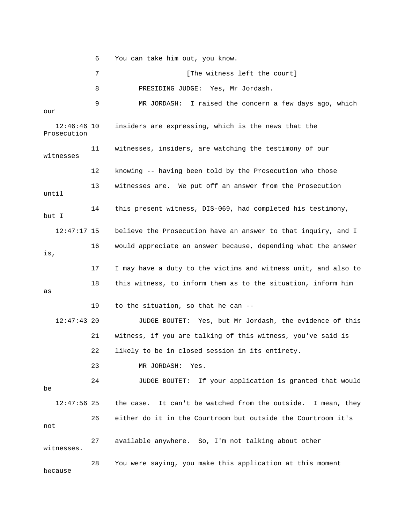6 You can take him out, you know.

7 [The witness left the court] 8 PRESIDING JUDGE: Yes, Mr Jordash. 9 MR JORDASH: I raised the concern a few days ago, which our witnesses 12 knowing -- having been told by the Prosecution who those 14 this present witness, DIS-069, had completed his testimony, 12:47:17 15 believe the Prosecution have an answer to that inquiry, and I 17 I may have a duty to the victims and witness unit, and also to 18 this witness, to inform them as to the situation, inform him 19 to the situation, so that he can -- 12:47:43 20 JUDGE BOUTET: Yes, but Mr Jordash, the evidence of this 21 witness, if you are talking of this witness, you've said is 23 MR JORDASH: Yes. 24 JUDGE BOUTET: If your application is granted that would 12:47:56 25 the case. It can't be watched from the outside. I mean, they 27 available anywhere. So, I'm not talking about other because 12:46:46 10 insiders are expressing, which is the news that the Prosecution 11 witnesses, insiders, are watching the testimony of our 13 witnesses are. We put off an answer from the Prosecution until but I 16 would appreciate an answer because, depending what the answer is, as 22 likely to be in closed session in its entirety. be 26 either do it in the Courtroom but outside the Courtroom it's not witnesses. 28 You were saying, you make this application at this moment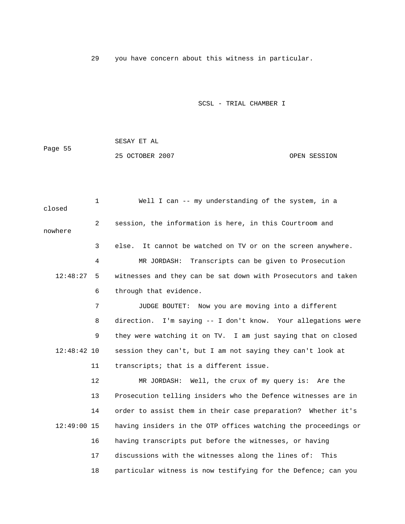29 you have concern about this witness in particular.

## SCSL - TRIAL CHAMBER I

|         | SESAY ET AL     |              |
|---------|-----------------|--------------|
| Page 55 |                 |              |
|         | 25 OCTOBER 2007 | OPEN SESSION |

1 Well I can -- my understanding of the system, in a closed 2 session, the information is here, in this Courtroom and nowhere 3 else. It cannot be watched on TV or on the screen anywhere. 4 MR JORDASH: Transcripts can be given to Prosecution 12:48:27 5 witnesses and they can be sat down with Prosecutors and taken 6 through that evidence. 8 direction. I'm saying -- I don't know. Your allegations were 9 they were watching it on TV. I am just saying that on closed 12:48:42 10 session they can't, but I am not saying they can't look at 12 MR JORDASH: Well, the crux of my query is: Are the 14 order to assist them in their case preparation? Whether it's 12:49:00 15 having insiders in the OTP offices watching the proceedings or 16 having transcripts put before the witnesses, or having 17 discussions with the witnesses along the lines of: This 18 particular witness is now testifying for the Defence; can you 7 JUDGE BOUTET: Now you are moving into a different 11 transcripts; that is a different issue. 13 Prosecution telling insiders who the Defence witnesses are in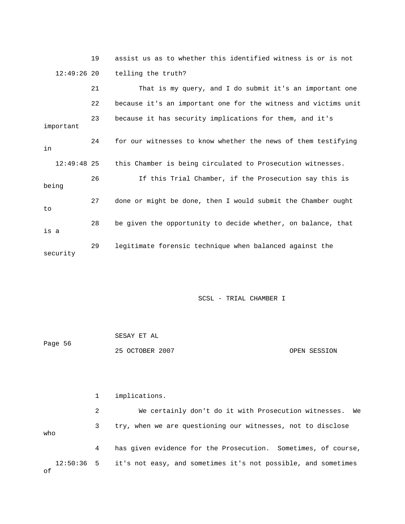|               | 19 | assist us as to whether this identified witness is or is not   |
|---------------|----|----------------------------------------------------------------|
| $12:49:26$ 20 |    | telling the truth?                                             |
|               | 21 | That is my query, and I do submit it's an important one        |
|               | 22 | because it's an important one for the witness and victims unit |
| important     | 23 | because it has security implications for them, and it's        |
| in            | 24 | for our witnesses to know whether the news of them testifying  |
| $12:49:48$ 25 |    | this Chamber is being circulated to Prosecution witnesses.     |
| being         | 26 | If this Trial Chamber, if the Prosecution say this is          |
| to            | 27 | done or might be done, then I would submit the Chamber ought   |
| is a          | 28 | be given the opportunity to decide whether, on balance, that   |
| security      | 29 | legitimate forensic technique when balanced against the        |

SCSL - TRIAL CHAMBER I

| Page 56 | SESAY ET AL     |              |
|---------|-----------------|--------------|
|         | 25 OCTOBER 2007 | OPEN SESSION |

|              |   | implications.                                                 |
|--------------|---|---------------------------------------------------------------|
|              | 2 | We certainly don't do it with Prosecution witnesses. We       |
| who          | 3 | try, when we are questioning our witnesses, not to disclose   |
|              | 4 | has given evidence for the Prosecution. Sometimes, of course, |
| $12:50:36$ 5 |   | it's not easy, and sometimes it's not possible, and sometimes |

of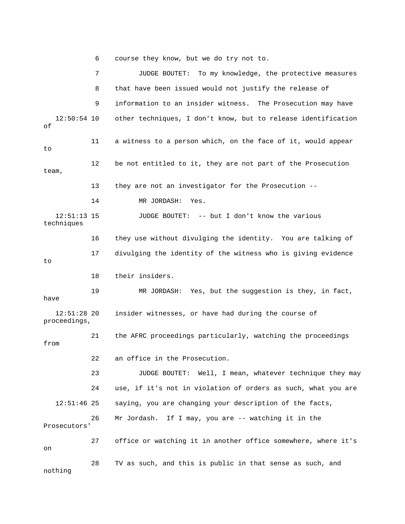6 course they know, but we do try not to.

 7 JUDGE BOUTET: To my knowledge, the protective measures 8 that have been issued would not justify the release of 9 information to an insider witness. The Prosecution may have 12:50:54 10 other techniques, I don't know, but to release identification 13 they are not an investigator for the Prosecution - techniques 17 divulging the identity of the witness who is giving evidence 18 their insiders. 19 MR JORDASH: Yes, but the suggestion is they, in fact, have insider witnesses, or have had during the course of proceedings, 21 the AFRC proceedings particularly, watching the proceedings 23 JUDGE BOUTET: Well, I mean, whatever technique they may 24 use, if it's not in violation of orders as such, what you are saying, you are changing your description of the facts, 26 Mr Jordash. If I may, you are -- watching it in the Prosecutors' 28 TV as such, and this is public in that sense as such, and nothing of 11 a witness to a person which, on the face of it, would appear to 12 be not entitled to it, they are not part of the Prosecution team, 14 MR JORDASH: Yes. 12:51:13 15 JUDGE BOUTET: -- but I don't know the various 16 they use without divulging the identity. You are talking of to  $12:51:28$  20 from 22 an office in the Prosecution.  $12:51:46$  25 27 office or watching it in another office somewhere, where it's on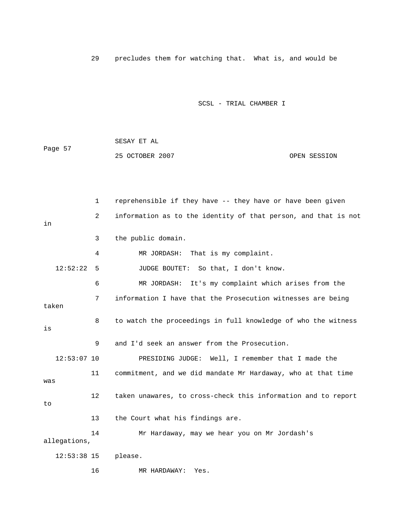29 precludes them for watching that. What is, and would be

## SCSL - TRIAL CHAMBER I

|         | SESAY ET AL     |              |
|---------|-----------------|--------------|
| Page 57 |                 |              |
|         | 25 OCTOBER 2007 | OPEN SESSION |

 2 information as to the identity of that person, and that is not 4 MR JORDASH: That is my complaint. 12:52:22 5 JUDGE BOUTET: So that, I don't know. g 7 information I have that the Prosecution witnesses are bein 8 to watch the proceedings in full knowledge of who the witness 11 commitment, and we did mandate Mr Hardaway, who at that time 12 taken unawares, to cross-check this information and to report 14 Mr Hardaway, may we hear you on Mr Jordash's 12:53:38 15 please. 16 MR HARDAWAY: Yes. 1 reprehensible if they have -- they have or have been given in 3 the public domain. 6 MR JORDASH: It's my complaint which arises from the taken is 9 and I'd seek an answer from the Prosecution. 12:53:07 10 PRESIDING JUDGE: Well, I remember that I made the was to 13 the Court what his findings are. allegations,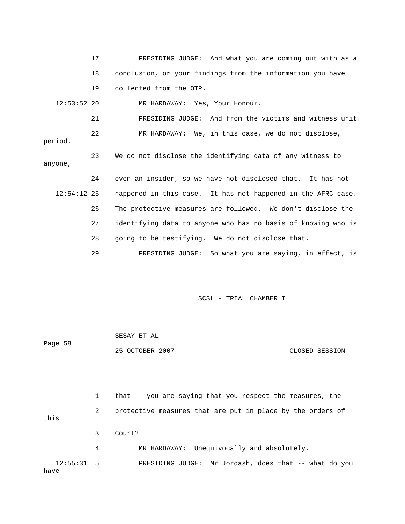|               | 17 | PRESIDING JUDGE: And what you are coming out with as a        |
|---------------|----|---------------------------------------------------------------|
|               | 18 | conclusion, or your findings from the information you have    |
|               | 19 | collected from the OTP.                                       |
| $12:53:52$ 20 |    | MR HARDAWAY: Yes, Your Honour.                                |
|               | 21 | PRESIDING JUDGE: And from the victims and witness unit.       |
| period.       | 22 | MR HARDAWAY: We, in this case, we do not disclose,            |
| anyone,       | 23 | We do not disclose the identifying data of any witness to     |
|               | 24 | even an insider, so we have not disclosed that. It has not    |
| $12:54:12$ 25 |    | happened in this case. It has not happened in the AFRC case.  |
|               | 26 | The protective measures are followed. We don't disclose the   |
|               | 27 | identifying data to anyone who has no basis of knowing who is |
|               | 28 | going to be testifying. We do not disclose that.              |
|               | 29 | PRESIDING JUDGE: So what you are saying, in effect, is        |

SCSL - TRIAL CHAMBER I

| Page 58 | SESAY ET AL     |                |
|---------|-----------------|----------------|
|         | 25 OCTOBER 2007 | CLOSED SESSION |

|                      |   | that -- you are saying that you respect the measures, the  |
|----------------------|---|------------------------------------------------------------|
| this                 | 2 | protective measures that are put in place by the orders of |
|                      |   | Court?                                                     |
|                      | 4 | MR HARDAWAY: Unequivocally and absolutely.                 |
| $12:55:31$ 5<br>have |   | PRESIDING JUDGE: Mr Jordash, does that -- what do you      |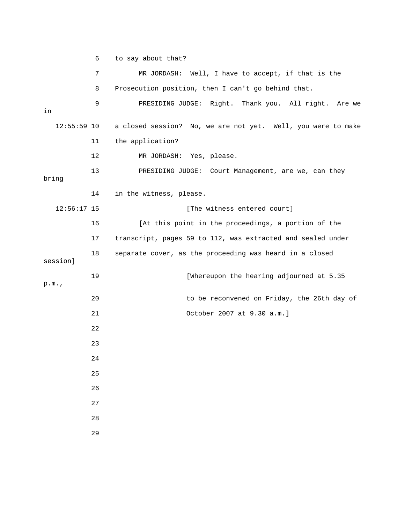6 to say about that?

|               | 7  | MR JORDASH: Well, I have to accept, if that is the           |
|---------------|----|--------------------------------------------------------------|
|               | 8  | Prosecution position, then I can't go behind that.           |
| in            | 9  | PRESIDING JUDGE: Right. Thank you. All right. Are we         |
| $12:55:59$ 10 |    | a closed session? No, we are not yet. Well, you were to make |
|               | 11 | the application?                                             |
|               | 12 | MR JORDASH: Yes, please.                                     |
| bring         | 13 | PRESIDING JUDGE: Court Management, are we, can they          |
|               | 14 | in the witness, please.                                      |
| $12:56:17$ 15 |    | [The witness entered court]                                  |
|               | 16 | [At this point in the proceedings, a portion of the          |
|               | 17 | transcript, pages 59 to 112, was extracted and sealed under  |
| session]      | 18 | separate cover, as the proceeding was heard in a closed      |
| p.m.          | 19 | [Whereupon the hearing adjourned at 5.35                     |
|               | 20 | to be reconvened on Friday, the 26th day of                  |
|               | 21 | October 2007 at 9.30 a.m.]                                   |
|               | 22 |                                                              |
|               | 23 |                                                              |
|               | 24 |                                                              |
|               | 25 |                                                              |
|               | 26 |                                                              |
|               | 27 |                                                              |
|               | 28 |                                                              |
|               | 29 |                                                              |